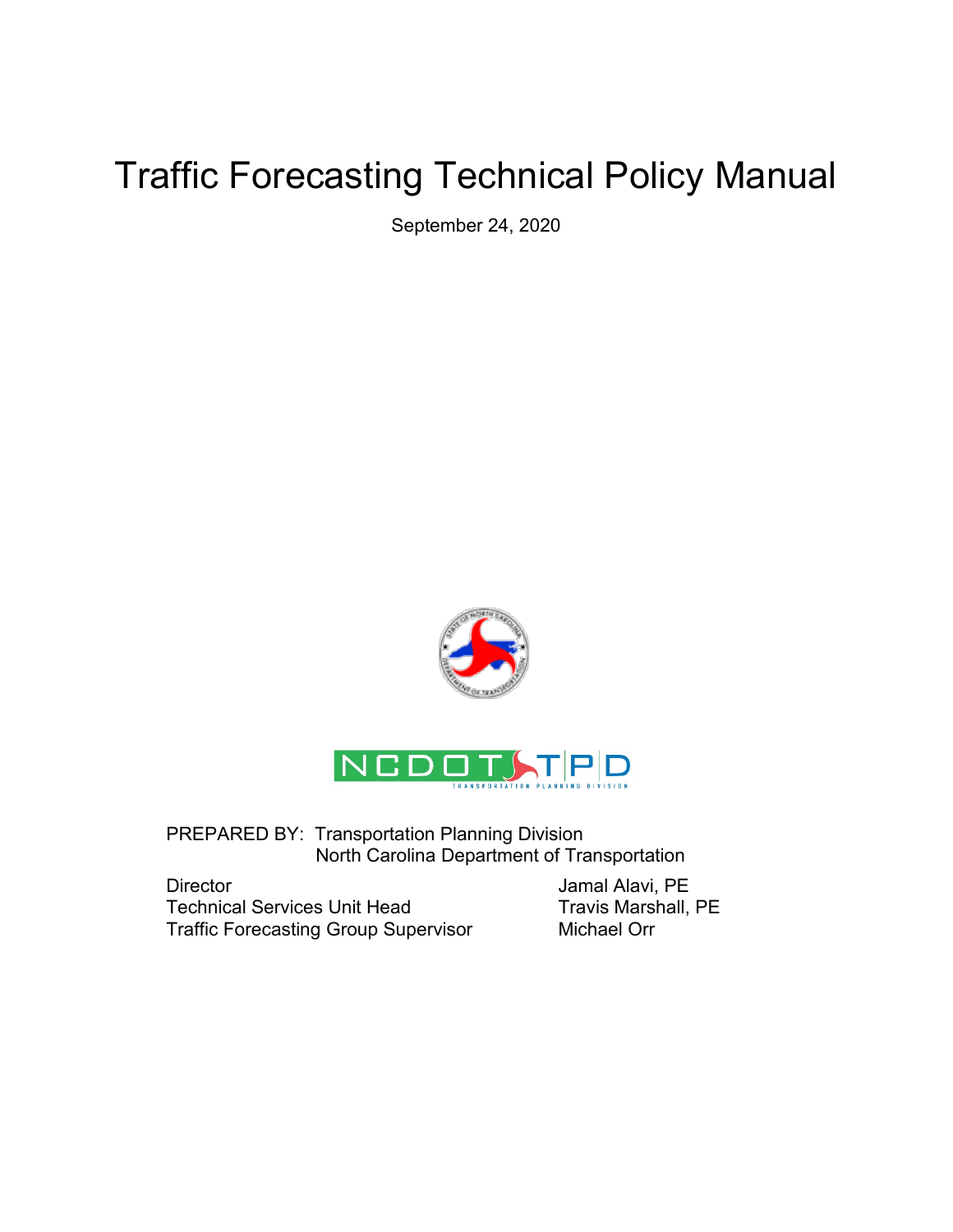# Traffic Forecasting Technical Policy Manual

September 24, 2020





PREPARED BY: Transportation Planning Division North Carolina Department of Transportation

Director **Director** Jamal Alavi, PE Technical Services Unit Head Travis Marshall, PE Traffic Forecasting Group Supervisor Michael Orr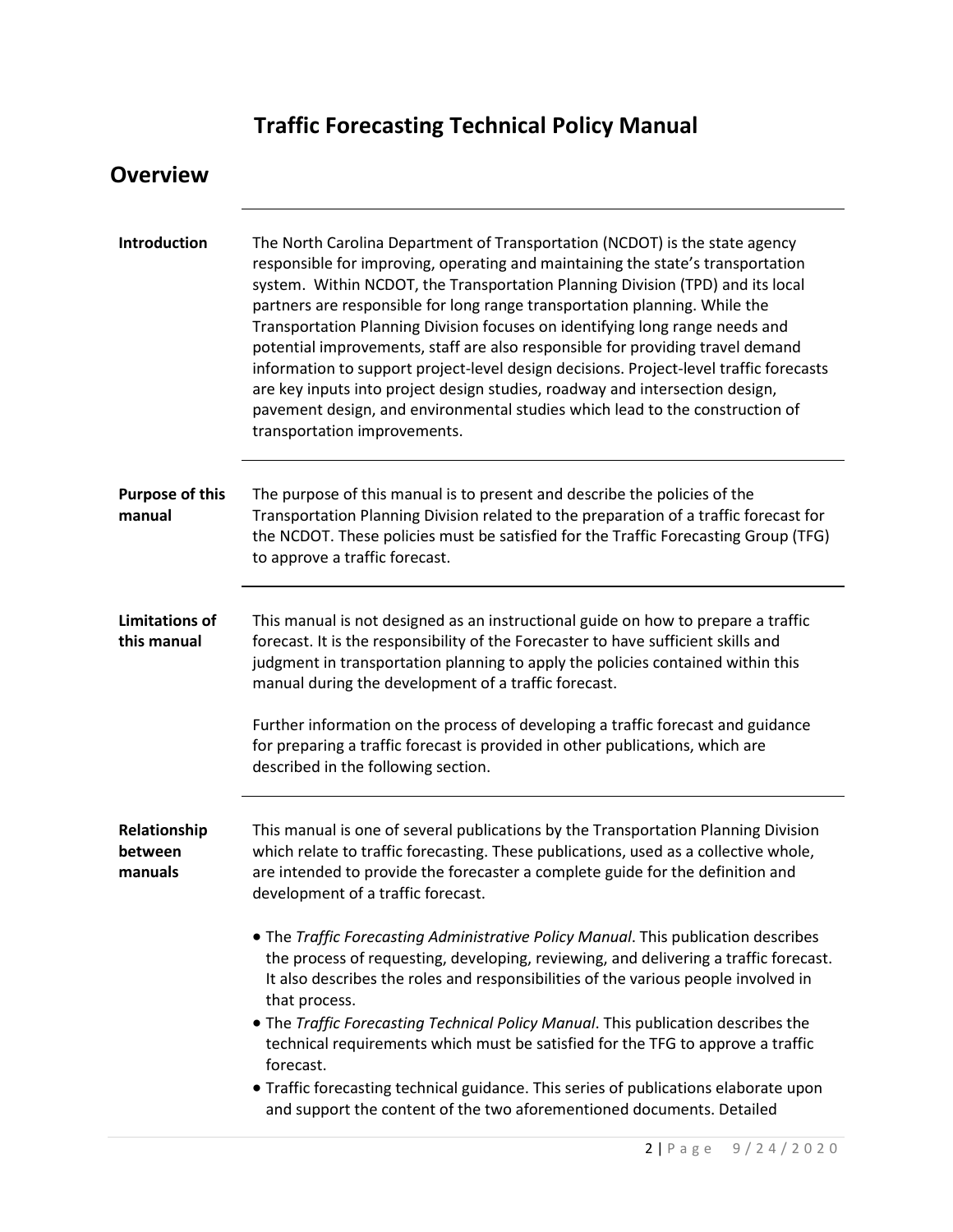# **Traffic Forecasting Technical Policy Manual**

| <b>Overview</b>                      |                                                                                                                                                                                                                                                                                                                                                                                                                                                                                                                                                                                                                                                                                                                                                                                                                                                                                                                                               |
|--------------------------------------|-----------------------------------------------------------------------------------------------------------------------------------------------------------------------------------------------------------------------------------------------------------------------------------------------------------------------------------------------------------------------------------------------------------------------------------------------------------------------------------------------------------------------------------------------------------------------------------------------------------------------------------------------------------------------------------------------------------------------------------------------------------------------------------------------------------------------------------------------------------------------------------------------------------------------------------------------|
| Introduction                         | The North Carolina Department of Transportation (NCDOT) is the state agency<br>responsible for improving, operating and maintaining the state's transportation<br>system. Within NCDOT, the Transportation Planning Division (TPD) and its local<br>partners are responsible for long range transportation planning. While the<br>Transportation Planning Division focuses on identifying long range needs and<br>potential improvements, staff are also responsible for providing travel demand<br>information to support project-level design decisions. Project-level traffic forecasts<br>are key inputs into project design studies, roadway and intersection design,<br>pavement design, and environmental studies which lead to the construction of<br>transportation improvements.                                                                                                                                                    |
| <b>Purpose of this</b><br>manual     | The purpose of this manual is to present and describe the policies of the<br>Transportation Planning Division related to the preparation of a traffic forecast for<br>the NCDOT. These policies must be satisfied for the Traffic Forecasting Group (TFG)<br>to approve a traffic forecast.                                                                                                                                                                                                                                                                                                                                                                                                                                                                                                                                                                                                                                                   |
| <b>Limitations of</b><br>this manual | This manual is not designed as an instructional guide on how to prepare a traffic<br>forecast. It is the responsibility of the Forecaster to have sufficient skills and<br>judgment in transportation planning to apply the policies contained within this<br>manual during the development of a traffic forecast.<br>Further information on the process of developing a traffic forecast and guidance<br>for preparing a traffic forecast is provided in other publications, which are<br>described in the following section.                                                                                                                                                                                                                                                                                                                                                                                                                |
| Relationship<br>between<br>manuals   | This manual is one of several publications by the Transportation Planning Division<br>which relate to traffic forecasting. These publications, used as a collective whole,<br>are intended to provide the forecaster a complete guide for the definition and<br>development of a traffic forecast.<br>. The Traffic Forecasting Administrative Policy Manual. This publication describes<br>the process of requesting, developing, reviewing, and delivering a traffic forecast.<br>It also describes the roles and responsibilities of the various people involved in<br>that process.<br>• The Traffic Forecasting Technical Policy Manual. This publication describes the<br>technical requirements which must be satisfied for the TFG to approve a traffic<br>forecast.<br>• Traffic forecasting technical guidance. This series of publications elaborate upon<br>and support the content of the two aforementioned documents. Detailed |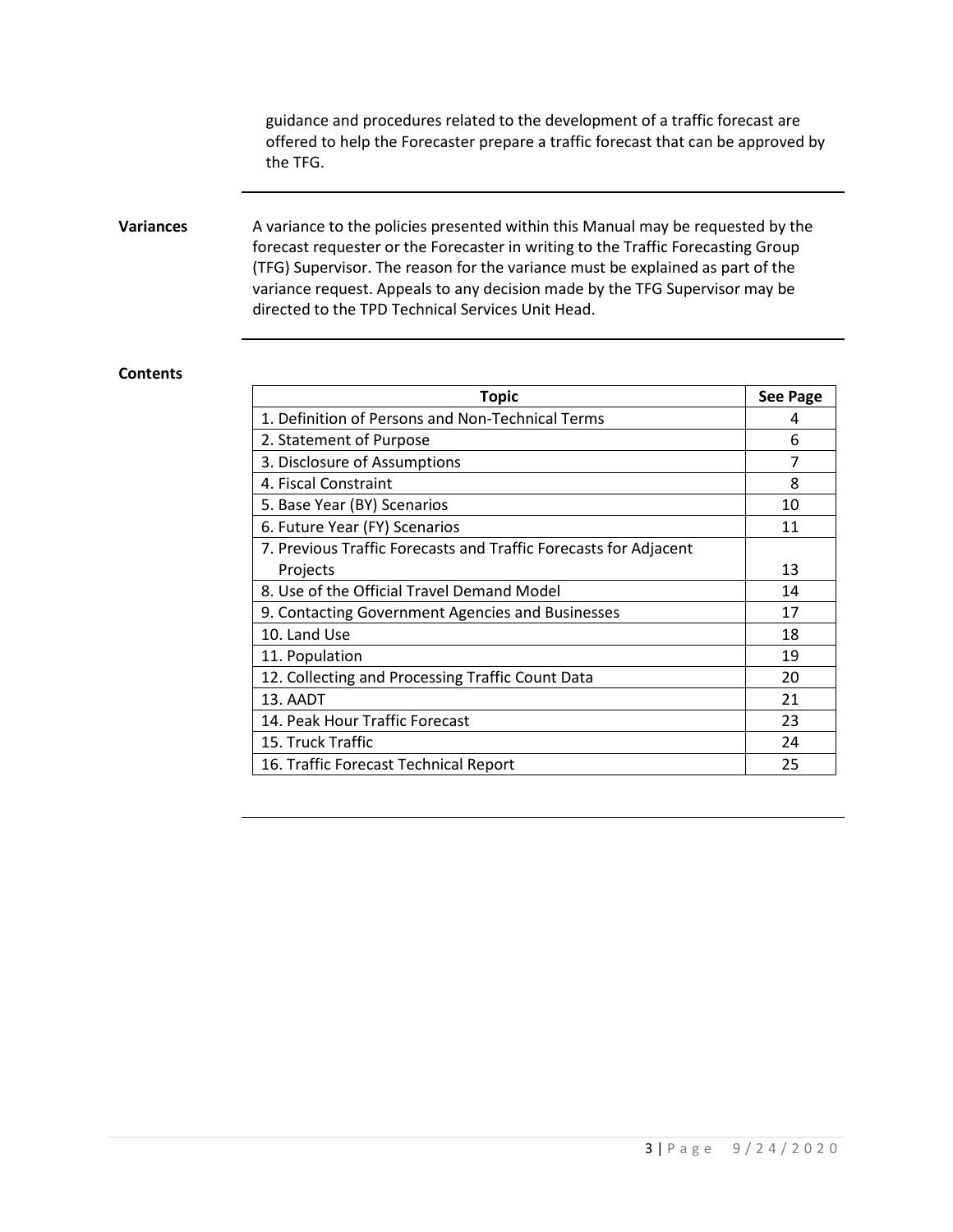guidance and procedures related to the development of a traffic forecast are offered to help the Forecaster prepare a traffic forecast that can be approved by the TFG.

#### **Variances** A variance to the policies presented within this Manual may be requested by the forecast requester or the Forecaster in writing to the Traffic Forecasting Group (TFG) Supervisor. The reason for the variance must be explained as part of the variance request. Appeals to any decision made by the TFG Supervisor may be directed to the TPD Technical Services Unit Head.

#### **Contents**

| <b>Topic</b>                                                     | <b>See Page</b> |
|------------------------------------------------------------------|-----------------|
| 1. Definition of Persons and Non-Technical Terms                 | 4               |
| 2. Statement of Purpose                                          | 6               |
| 3. Disclosure of Assumptions                                     | 7               |
| 4. Fiscal Constraint                                             | 8               |
| 5. Base Year (BY) Scenarios                                      | 10              |
| 6. Future Year (FY) Scenarios                                    | 11              |
| 7. Previous Traffic Forecasts and Traffic Forecasts for Adjacent |                 |
| Projects                                                         |                 |
| 8. Use of the Official Travel Demand Model                       |                 |
| 9. Contacting Government Agencies and Businesses                 |                 |
| 10. Land Use                                                     |                 |
| 11. Population                                                   |                 |
| 12. Collecting and Processing Traffic Count Data                 |                 |
| 13. AADT                                                         |                 |
| 14. Peak Hour Traffic Forecast                                   |                 |
| 15. Truck Traffic                                                |                 |
| 16. Traffic Forecast Technical Report                            |                 |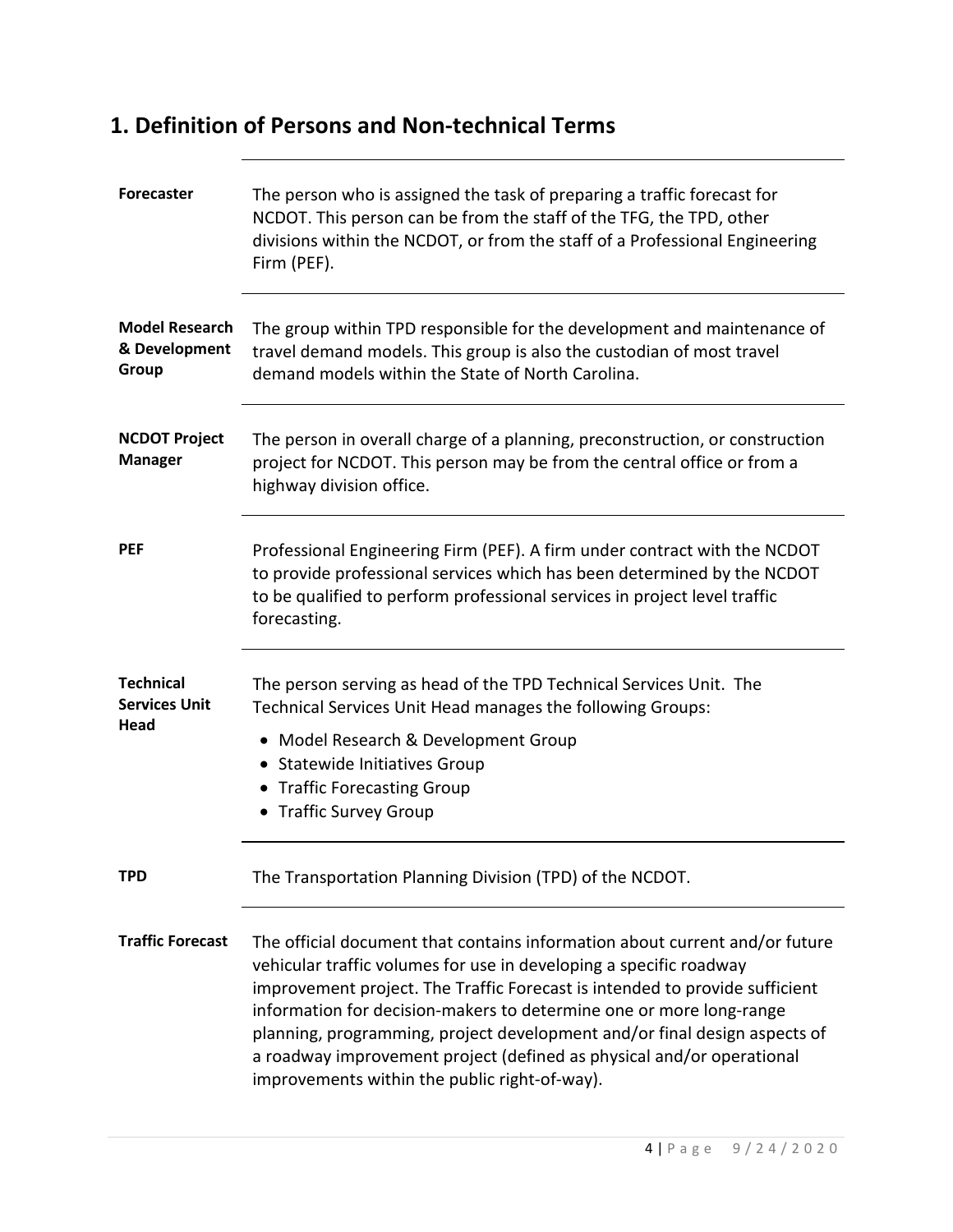#### **1. Definition of Persons and Non-technical Terms**

| <b>Forecaster</b>                                | The person who is assigned the task of preparing a traffic forecast for<br>NCDOT. This person can be from the staff of the TFG, the TPD, other<br>divisions within the NCDOT, or from the staff of a Professional Engineering<br>Firm (PEF).                                                                                                                                                                                                                                                                   |
|--------------------------------------------------|----------------------------------------------------------------------------------------------------------------------------------------------------------------------------------------------------------------------------------------------------------------------------------------------------------------------------------------------------------------------------------------------------------------------------------------------------------------------------------------------------------------|
| <b>Model Research</b><br>& Development<br>Group  | The group within TPD responsible for the development and maintenance of<br>travel demand models. This group is also the custodian of most travel<br>demand models within the State of North Carolina.                                                                                                                                                                                                                                                                                                          |
| <b>NCDOT Project</b><br><b>Manager</b>           | The person in overall charge of a planning, preconstruction, or construction<br>project for NCDOT. This person may be from the central office or from a<br>highway division office.                                                                                                                                                                                                                                                                                                                            |
| <b>PEF</b>                                       | Professional Engineering Firm (PEF). A firm under contract with the NCDOT<br>to provide professional services which has been determined by the NCDOT<br>to be qualified to perform professional services in project level traffic<br>forecasting.                                                                                                                                                                                                                                                              |
| <b>Technical</b><br><b>Services Unit</b><br>Head | The person serving as head of the TPD Technical Services Unit. The<br>Technical Services Unit Head manages the following Groups:<br>• Model Research & Development Group<br>• Statewide Initiatives Group<br>• Traffic Forecasting Group<br>• Traffic Survey Group                                                                                                                                                                                                                                             |
| TPD                                              | The Transportation Planning Division (TPD) of the NCDOT.                                                                                                                                                                                                                                                                                                                                                                                                                                                       |
| <b>Traffic Forecast</b>                          | The official document that contains information about current and/or future<br>vehicular traffic volumes for use in developing a specific roadway<br>improvement project. The Traffic Forecast is intended to provide sufficient<br>information for decision-makers to determine one or more long-range<br>planning, programming, project development and/or final design aspects of<br>a roadway improvement project (defined as physical and/or operational<br>improvements within the public right-of-way). |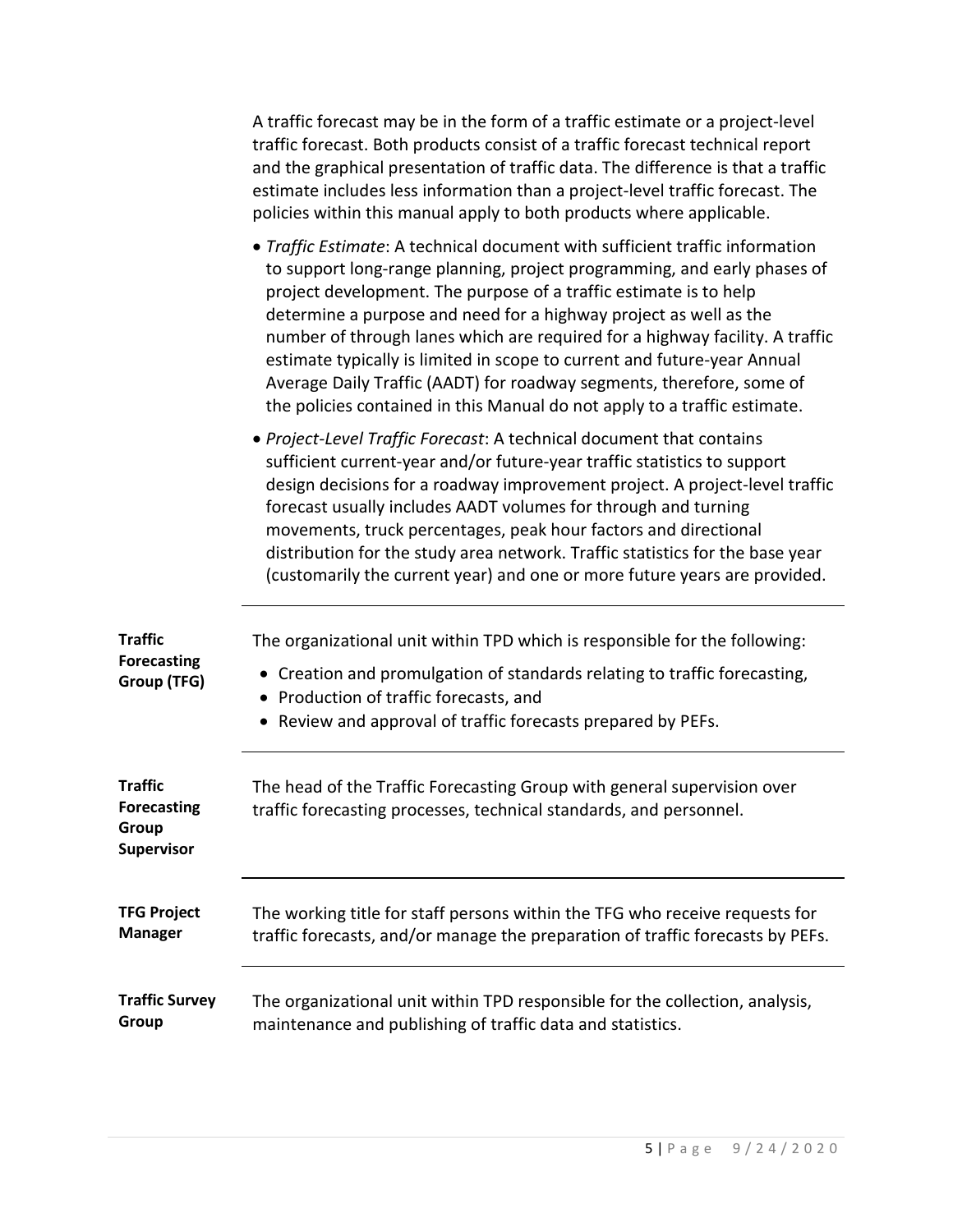|                                                             | A traffic forecast may be in the form of a traffic estimate or a project-level<br>traffic forecast. Both products consist of a traffic forecast technical report<br>and the graphical presentation of traffic data. The difference is that a traffic<br>estimate includes less information than a project-level traffic forecast. The<br>policies within this manual apply to both products where applicable.                                                                                                                                                                                                        |
|-------------------------------------------------------------|----------------------------------------------------------------------------------------------------------------------------------------------------------------------------------------------------------------------------------------------------------------------------------------------------------------------------------------------------------------------------------------------------------------------------------------------------------------------------------------------------------------------------------------------------------------------------------------------------------------------|
|                                                             | • Traffic Estimate: A technical document with sufficient traffic information<br>to support long-range planning, project programming, and early phases of<br>project development. The purpose of a traffic estimate is to help<br>determine a purpose and need for a highway project as well as the<br>number of through lanes which are required for a highway facility. A traffic<br>estimate typically is limited in scope to current and future-year Annual<br>Average Daily Traffic (AADT) for roadway segments, therefore, some of<br>the policies contained in this Manual do not apply to a traffic estimate. |
|                                                             | • Project-Level Traffic Forecast: A technical document that contains<br>sufficient current-year and/or future-year traffic statistics to support<br>design decisions for a roadway improvement project. A project-level traffic<br>forecast usually includes AADT volumes for through and turning<br>movements, truck percentages, peak hour factors and directional<br>distribution for the study area network. Traffic statistics for the base year<br>(customarily the current year) and one or more future years are provided.                                                                                   |
| <b>Traffic</b><br><b>Forecasting</b><br>Group (TFG)         | The organizational unit within TPD which is responsible for the following:<br>• Creation and promulgation of standards relating to traffic forecasting,<br>• Production of traffic forecasts, and<br>• Review and approval of traffic forecasts prepared by PEFs.                                                                                                                                                                                                                                                                                                                                                    |
| <b>Traffic</b><br><b>Forecasting</b><br>Group<br>Supervisor | The head of the Traffic Forecasting Group with general supervision over<br>traffic forecasting processes, technical standards, and personnel.                                                                                                                                                                                                                                                                                                                                                                                                                                                                        |
| <b>TFG Project</b><br><b>Manager</b>                        | The working title for staff persons within the TFG who receive requests for<br>traffic forecasts, and/or manage the preparation of traffic forecasts by PEFs.                                                                                                                                                                                                                                                                                                                                                                                                                                                        |
| <b>Traffic Survey</b><br>Group                              | The organizational unit within TPD responsible for the collection, analysis,<br>maintenance and publishing of traffic data and statistics.                                                                                                                                                                                                                                                                                                                                                                                                                                                                           |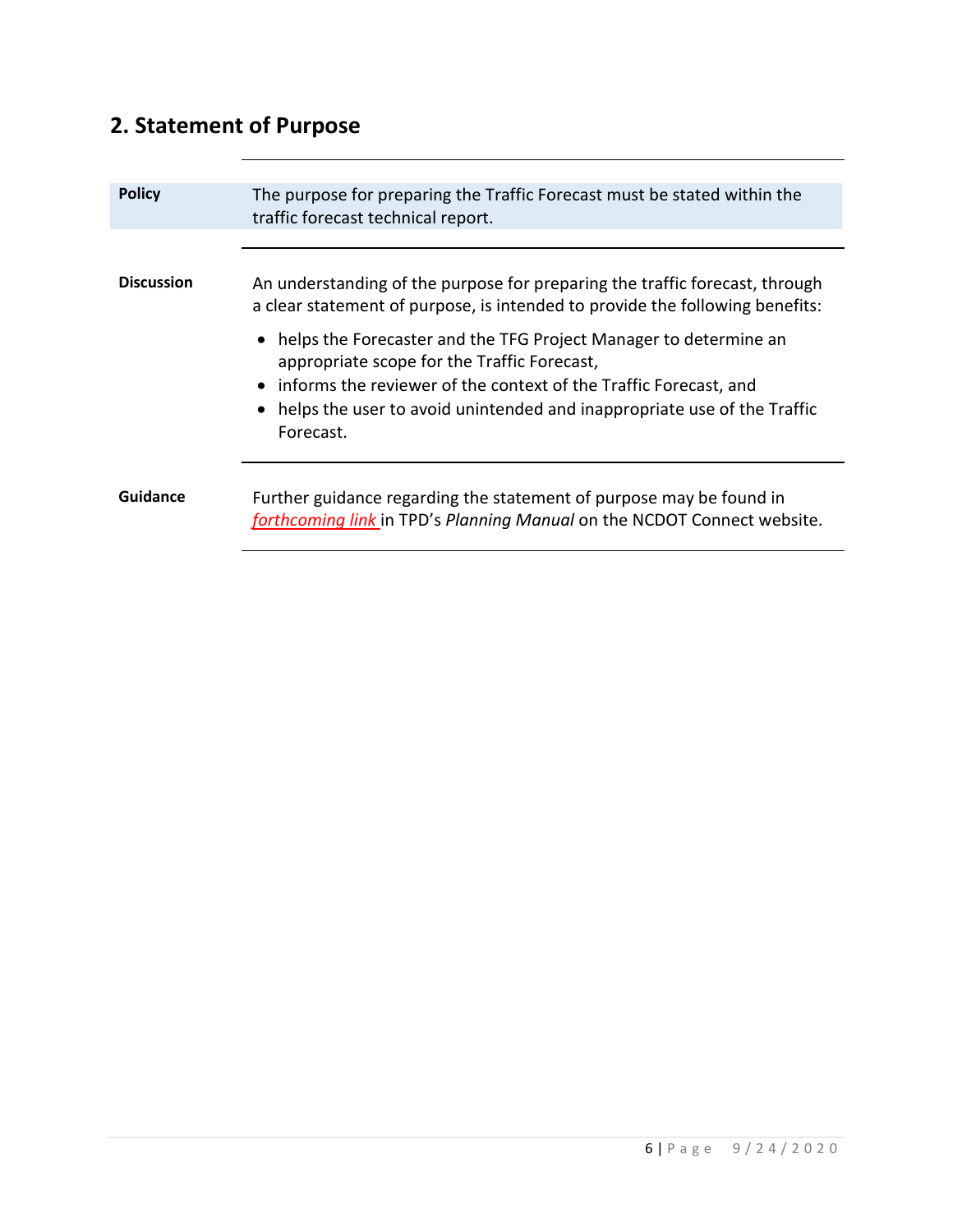# **2. Statement of Purpose**

| <b>Policy</b>     | The purpose for preparing the Traffic Forecast must be stated within the<br>traffic forecast technical report.                                                                                                                                                                   |
|-------------------|----------------------------------------------------------------------------------------------------------------------------------------------------------------------------------------------------------------------------------------------------------------------------------|
| <b>Discussion</b> | An understanding of the purpose for preparing the traffic forecast, through<br>a clear statement of purpose, is intended to provide the following benefits:<br>• helps the Forecaster and the TFG Project Manager to determine an<br>appropriate scope for the Traffic Forecast, |
|                   | • informs the reviewer of the context of the Traffic Forecast, and<br>• helps the user to avoid unintended and inappropriate use of the Traffic<br>Forecast.                                                                                                                     |
| Guidance          | Further guidance regarding the statement of purpose may be found in<br>forthcoming link in TPD's Planning Manual on the NCDOT Connect website.                                                                                                                                   |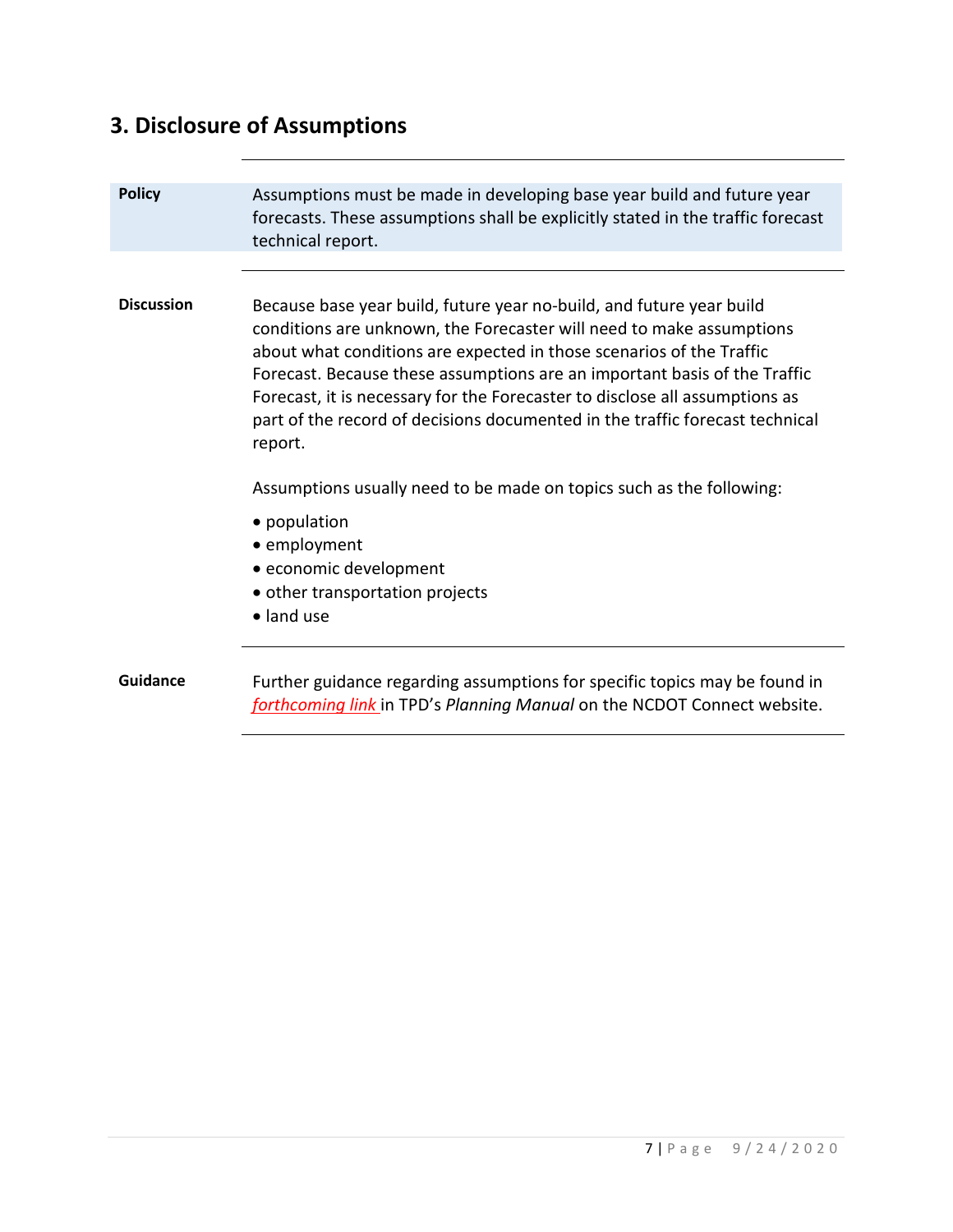# **3. Disclosure of Assumptions**

| <b>Policy</b>     | Assumptions must be made in developing base year build and future year<br>forecasts. These assumptions shall be explicitly stated in the traffic forecast<br>technical report.                                                                                                                                                                                                                                                                                              |
|-------------------|-----------------------------------------------------------------------------------------------------------------------------------------------------------------------------------------------------------------------------------------------------------------------------------------------------------------------------------------------------------------------------------------------------------------------------------------------------------------------------|
|                   |                                                                                                                                                                                                                                                                                                                                                                                                                                                                             |
| <b>Discussion</b> | Because base year build, future year no-build, and future year build<br>conditions are unknown, the Forecaster will need to make assumptions<br>about what conditions are expected in those scenarios of the Traffic<br>Forecast. Because these assumptions are an important basis of the Traffic<br>Forecast, it is necessary for the Forecaster to disclose all assumptions as<br>part of the record of decisions documented in the traffic forecast technical<br>report. |
|                   | Assumptions usually need to be made on topics such as the following:                                                                                                                                                                                                                                                                                                                                                                                                        |
|                   | • population<br>• employment<br>· economic development<br>• other transportation projects<br>· land use                                                                                                                                                                                                                                                                                                                                                                     |
| <b>Guidance</b>   | Further guidance regarding assumptions for specific topics may be found in<br>forthcoming link in TPD's Planning Manual on the NCDOT Connect website.                                                                                                                                                                                                                                                                                                                       |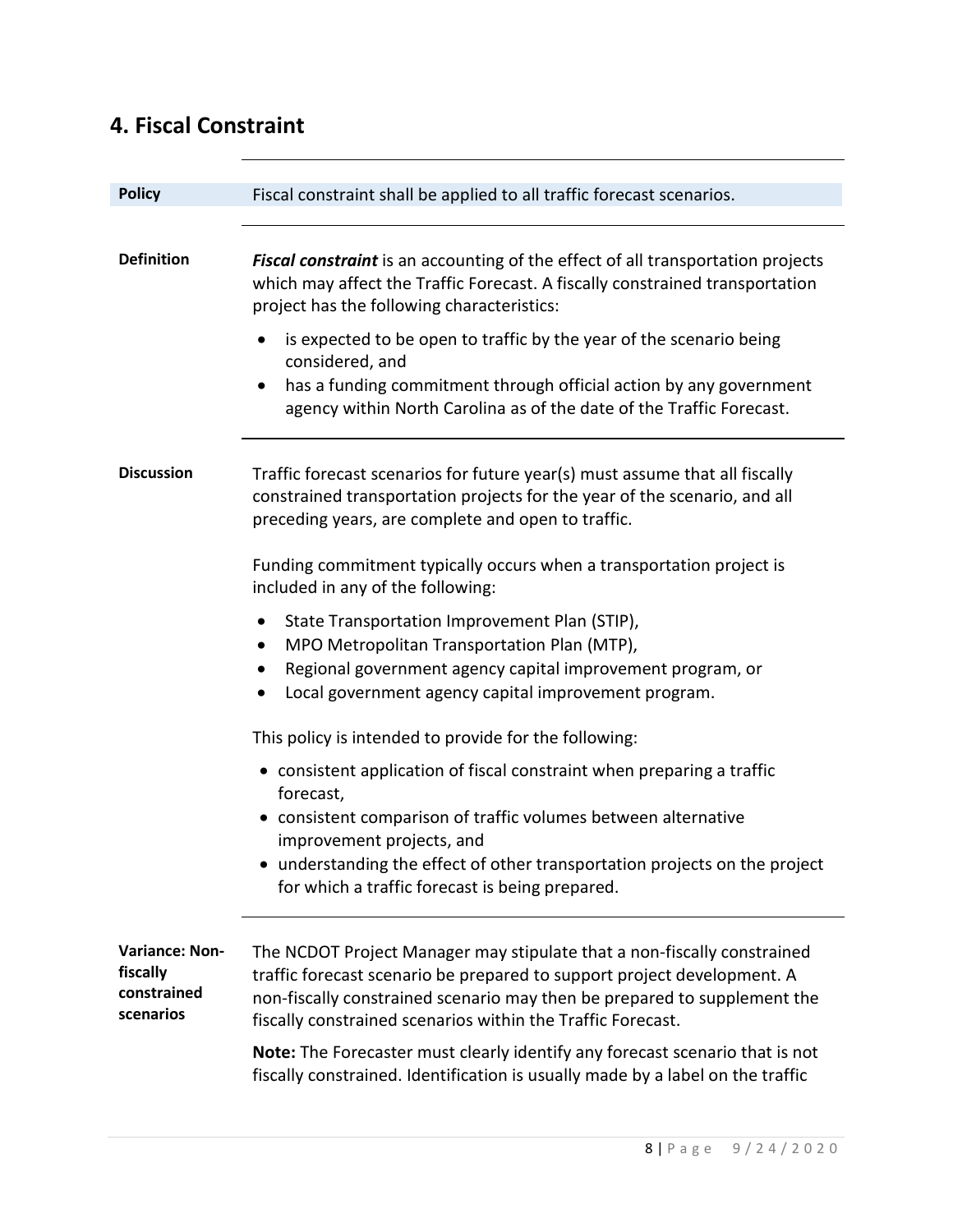| <b>Policy</b>                                                 | Fiscal constraint shall be applied to all traffic forecast scenarios.                                                                                                                                                                                                                                                                                                                                                                                           |
|---------------------------------------------------------------|-----------------------------------------------------------------------------------------------------------------------------------------------------------------------------------------------------------------------------------------------------------------------------------------------------------------------------------------------------------------------------------------------------------------------------------------------------------------|
|                                                               |                                                                                                                                                                                                                                                                                                                                                                                                                                                                 |
| <b>Definition</b>                                             | Fiscal constraint is an accounting of the effect of all transportation projects<br>which may affect the Traffic Forecast. A fiscally constrained transportation<br>project has the following characteristics:                                                                                                                                                                                                                                                   |
|                                                               | is expected to be open to traffic by the year of the scenario being<br>$\bullet$<br>considered, and<br>has a funding commitment through official action by any government<br>٠                                                                                                                                                                                                                                                                                  |
|                                                               | agency within North Carolina as of the date of the Traffic Forecast.                                                                                                                                                                                                                                                                                                                                                                                            |
| <b>Discussion</b>                                             | Traffic forecast scenarios for future year(s) must assume that all fiscally<br>constrained transportation projects for the year of the scenario, and all<br>preceding years, are complete and open to traffic.                                                                                                                                                                                                                                                  |
|                                                               | Funding commitment typically occurs when a transportation project is<br>included in any of the following:                                                                                                                                                                                                                                                                                                                                                       |
|                                                               | State Transportation Improvement Plan (STIP),<br>MPO Metropolitan Transportation Plan (MTP),<br>Regional government agency capital improvement program, or<br>Local government agency capital improvement program.                                                                                                                                                                                                                                              |
|                                                               | This policy is intended to provide for the following:                                                                                                                                                                                                                                                                                                                                                                                                           |
|                                                               | • consistent application of fiscal constraint when preparing a traffic<br>forecast,                                                                                                                                                                                                                                                                                                                                                                             |
|                                                               | • consistent comparison of traffic volumes between alternative<br>improvement projects, and                                                                                                                                                                                                                                                                                                                                                                     |
|                                                               | • understanding the effect of other transportation projects on the project<br>for which a traffic forecast is being prepared.                                                                                                                                                                                                                                                                                                                                   |
| <b>Variance: Non-</b><br>fiscally<br>constrained<br>scenarios | The NCDOT Project Manager may stipulate that a non-fiscally constrained<br>traffic forecast scenario be prepared to support project development. A<br>non-fiscally constrained scenario may then be prepared to supplement the<br>fiscally constrained scenarios within the Traffic Forecast.<br>Note: The Forecaster must clearly identify any forecast scenario that is not<br>fiscally constrained. Identification is usually made by a label on the traffic |
|                                                               |                                                                                                                                                                                                                                                                                                                                                                                                                                                                 |

#### **4. Fiscal Constraint**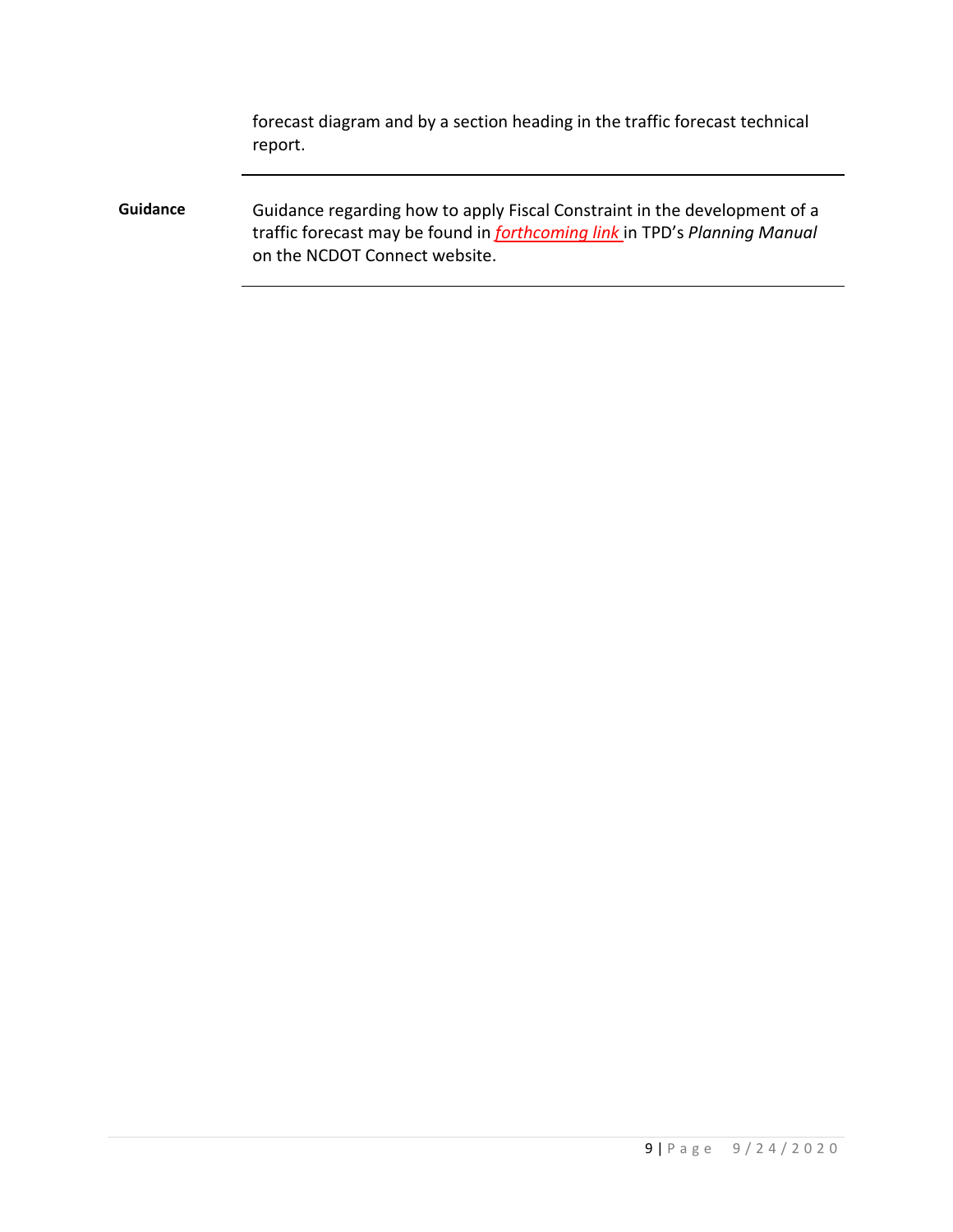forecast diagram and by a section heading in the traffic forecast technical report.

**Guidance** Guidance regarding how to apply Fiscal Constraint in the development of a traffic forecast may be found in *forthcoming link* in TPD's *Planning Manual* on the NCDOT Connect website.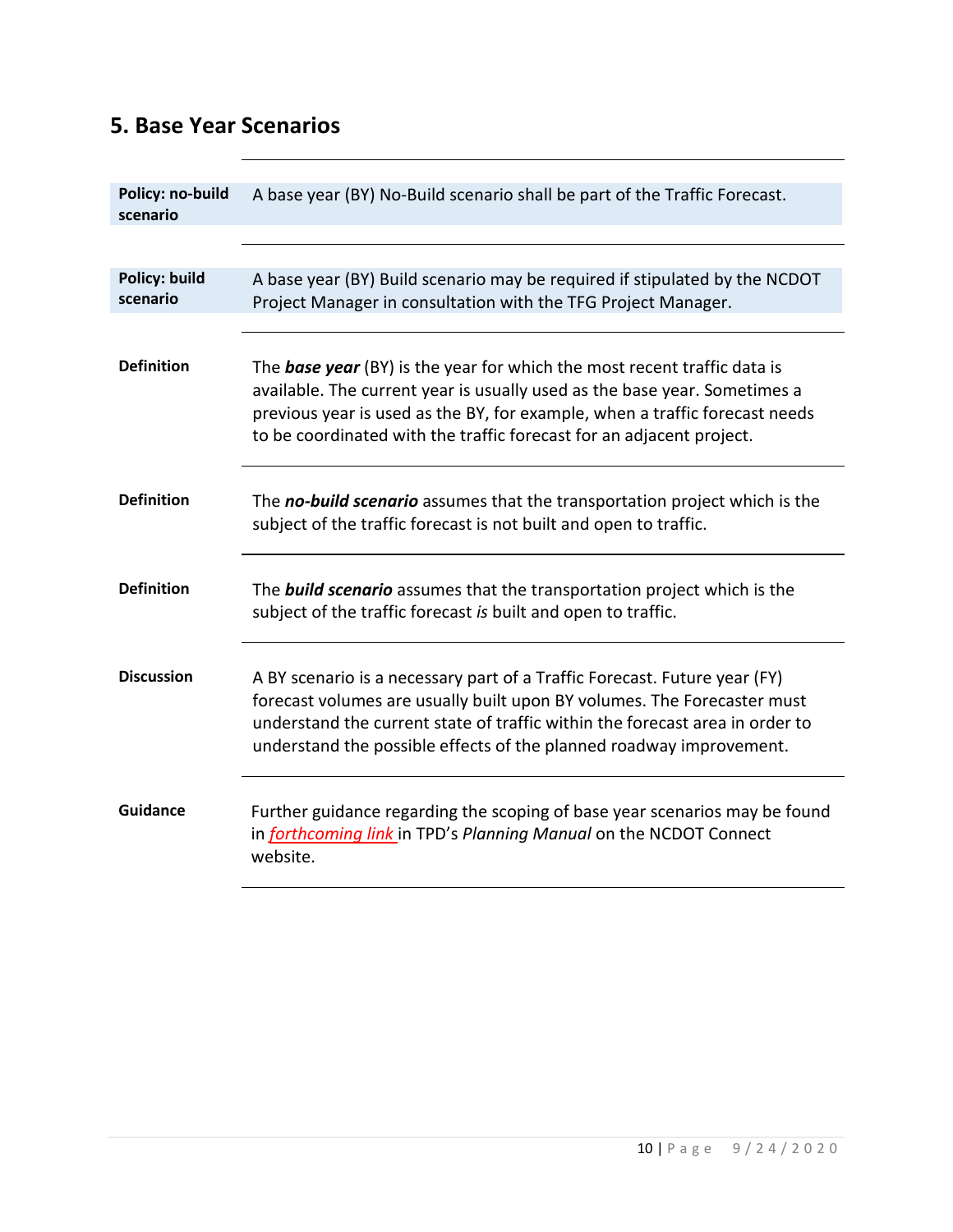#### **5. Base Year Scenarios**

| Policy: no-build     | A base year (BY) No-Build scenario shall be part of the Traffic Forecast.                                                                                                                                                                                                                                           |
|----------------------|---------------------------------------------------------------------------------------------------------------------------------------------------------------------------------------------------------------------------------------------------------------------------------------------------------------------|
| scenario             |                                                                                                                                                                                                                                                                                                                     |
|                      |                                                                                                                                                                                                                                                                                                                     |
|                      |                                                                                                                                                                                                                                                                                                                     |
| <b>Policy: build</b> | A base year (BY) Build scenario may be required if stipulated by the NCDOT                                                                                                                                                                                                                                          |
| scenario             | Project Manager in consultation with the TFG Project Manager.                                                                                                                                                                                                                                                       |
|                      |                                                                                                                                                                                                                                                                                                                     |
| <b>Definition</b>    | The <b>base year</b> (BY) is the year for which the most recent traffic data is<br>available. The current year is usually used as the base year. Sometimes a<br>previous year is used as the BY, for example, when a traffic forecast needs<br>to be coordinated with the traffic forecast for an adjacent project. |
| <b>Definition</b>    | The no-build scenario assumes that the transportation project which is the<br>subject of the traffic forecast is not built and open to traffic.                                                                                                                                                                     |
| <b>Definition</b>    | The <b>build scenario</b> assumes that the transportation project which is the<br>subject of the traffic forecast is built and open to traffic.                                                                                                                                                                     |
| <b>Discussion</b>    | A BY scenario is a necessary part of a Traffic Forecast. Future year (FY)<br>forecast volumes are usually built upon BY volumes. The Forecaster must<br>understand the current state of traffic within the forecast area in order to<br>understand the possible effects of the planned roadway improvement.         |
| Guidance             | Further guidance regarding the scoping of base year scenarios may be found<br>in forthcoming link in TPD's Planning Manual on the NCDOT Connect<br>website.                                                                                                                                                         |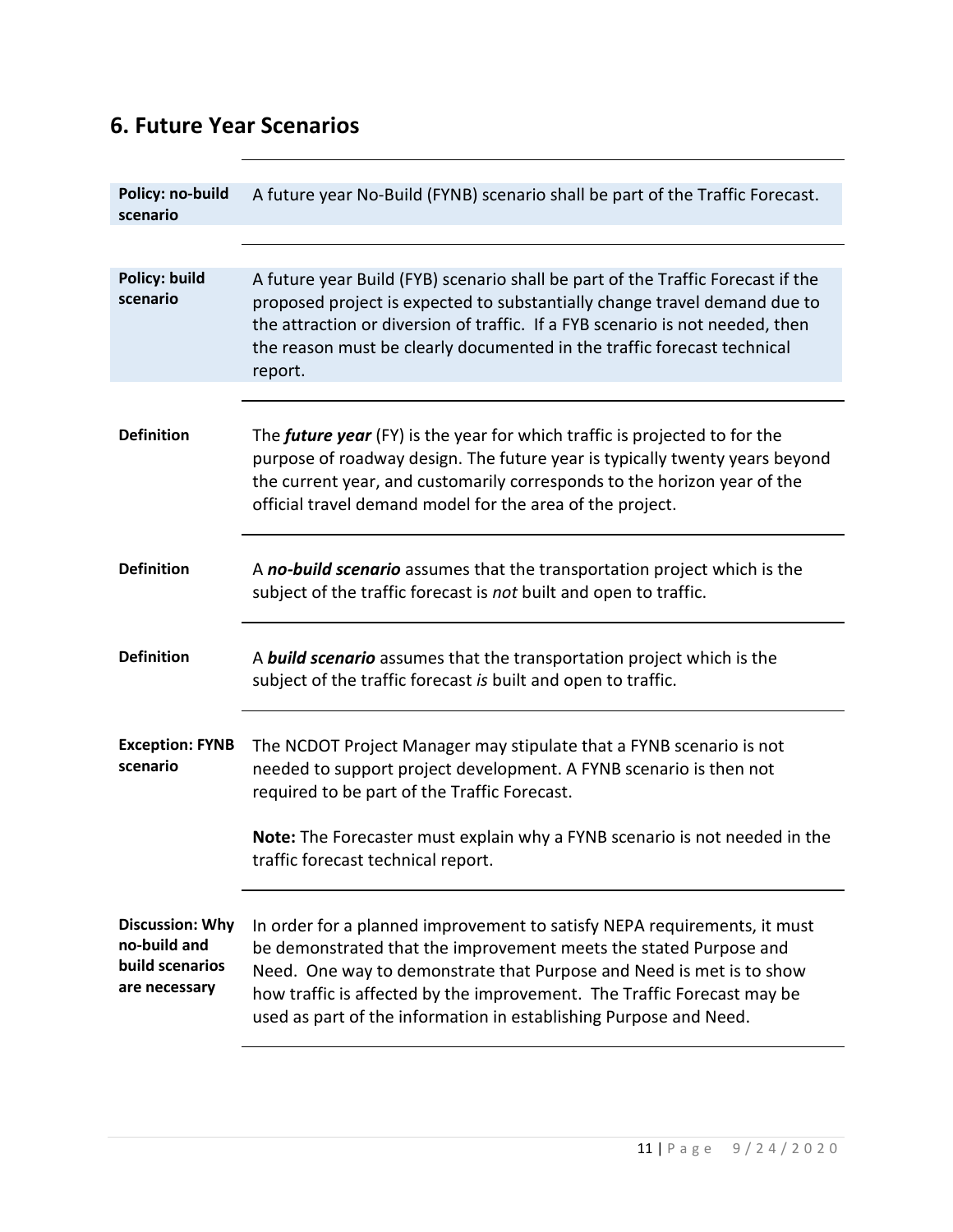### **6. Future Year Scenarios**

| Policy: no-build<br>scenario                                               | A future year No-Build (FYNB) scenario shall be part of the Traffic Forecast.                                                                                                                                                                                                                                                                                         |
|----------------------------------------------------------------------------|-----------------------------------------------------------------------------------------------------------------------------------------------------------------------------------------------------------------------------------------------------------------------------------------------------------------------------------------------------------------------|
|                                                                            |                                                                                                                                                                                                                                                                                                                                                                       |
| <b>Policy: build</b><br>scenario                                           | A future year Build (FYB) scenario shall be part of the Traffic Forecast if the<br>proposed project is expected to substantially change travel demand due to<br>the attraction or diversion of traffic. If a FYB scenario is not needed, then<br>the reason must be clearly documented in the traffic forecast technical<br>report.                                   |
|                                                                            |                                                                                                                                                                                                                                                                                                                                                                       |
| <b>Definition</b>                                                          | The future year (FY) is the year for which traffic is projected to for the<br>purpose of roadway design. The future year is typically twenty years beyond<br>the current year, and customarily corresponds to the horizon year of the<br>official travel demand model for the area of the project.                                                                    |
| <b>Definition</b>                                                          | A no-build scenario assumes that the transportation project which is the<br>subject of the traffic forecast is not built and open to traffic.                                                                                                                                                                                                                         |
| <b>Definition</b>                                                          | A <b>build scenario</b> assumes that the transportation project which is the<br>subject of the traffic forecast is built and open to traffic.                                                                                                                                                                                                                         |
| <b>Exception: FYNB</b><br>scenario                                         | The NCDOT Project Manager may stipulate that a FYNB scenario is not<br>needed to support project development. A FYNB scenario is then not<br>required to be part of the Traffic Forecast.                                                                                                                                                                             |
|                                                                            | Note: The Forecaster must explain why a FYNB scenario is not needed in the<br>traffic forecast technical report.                                                                                                                                                                                                                                                      |
| <b>Discussion: Why</b><br>no-build and<br>build scenarios<br>are necessary | In order for a planned improvement to satisfy NEPA requirements, it must<br>be demonstrated that the improvement meets the stated Purpose and<br>Need. One way to demonstrate that Purpose and Need is met is to show<br>how traffic is affected by the improvement. The Traffic Forecast may be<br>used as part of the information in establishing Purpose and Need. |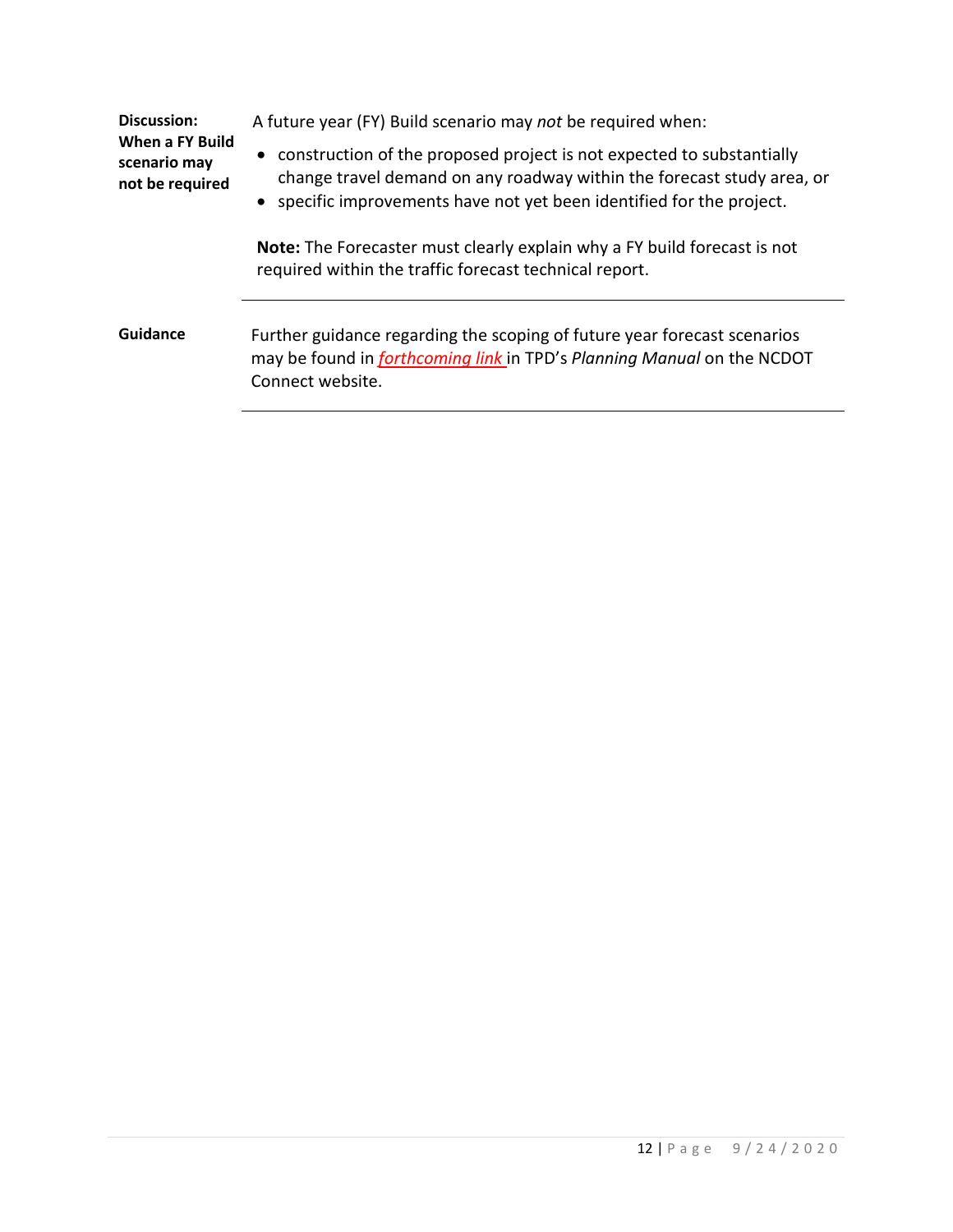| Discussion:<br>When a FY Build<br>scenario may<br>not be required | A future year (FY) Build scenario may not be required when:                                                                                                                                                                |
|-------------------------------------------------------------------|----------------------------------------------------------------------------------------------------------------------------------------------------------------------------------------------------------------------------|
|                                                                   | • construction of the proposed project is not expected to substantially<br>change travel demand on any roadway within the forecast study area, or<br>• specific improvements have not yet been identified for the project. |
|                                                                   | <b>Note:</b> The Forecaster must clearly explain why a FY build forecast is not<br>required within the traffic forecast technical report.                                                                                  |
| <b>Guidance</b>                                                   | Further guidance regarding the scoping of future year forecast scenarios<br>may be found in forthcoming link in TPD's Planning Manual on the NCDOT<br>Connect website.                                                     |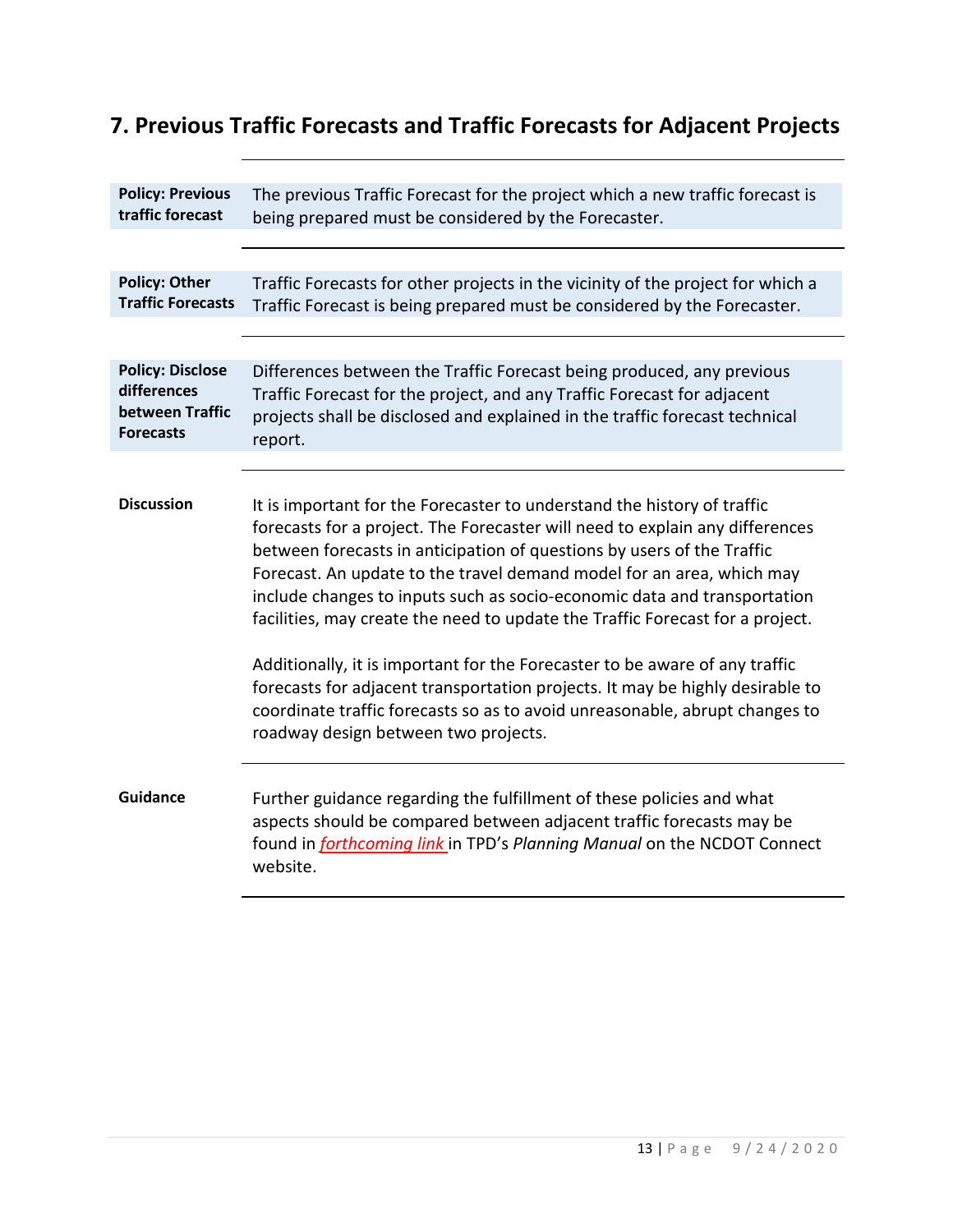# **7. Previous Traffic Forecasts and Traffic Forecasts for Adjacent Projects**

| <b>Policy: Previous</b><br>traffic forecast                                   | The previous Traffic Forecast for the project which a new traffic forecast is<br>being prepared must be considered by the Forecaster.                                                                                                                                                                                                                                                                                                                                                                                                                                                                                                                                                                                                                          |
|-------------------------------------------------------------------------------|----------------------------------------------------------------------------------------------------------------------------------------------------------------------------------------------------------------------------------------------------------------------------------------------------------------------------------------------------------------------------------------------------------------------------------------------------------------------------------------------------------------------------------------------------------------------------------------------------------------------------------------------------------------------------------------------------------------------------------------------------------------|
|                                                                               |                                                                                                                                                                                                                                                                                                                                                                                                                                                                                                                                                                                                                                                                                                                                                                |
| <b>Policy: Other</b><br><b>Traffic Forecasts</b>                              | Traffic Forecasts for other projects in the vicinity of the project for which a<br>Traffic Forecast is being prepared must be considered by the Forecaster.                                                                                                                                                                                                                                                                                                                                                                                                                                                                                                                                                                                                    |
|                                                                               |                                                                                                                                                                                                                                                                                                                                                                                                                                                                                                                                                                                                                                                                                                                                                                |
| <b>Policy: Disclose</b><br>differences<br>between Traffic<br><b>Forecasts</b> | Differences between the Traffic Forecast being produced, any previous<br>Traffic Forecast for the project, and any Traffic Forecast for adjacent<br>projects shall be disclosed and explained in the traffic forecast technical<br>report.                                                                                                                                                                                                                                                                                                                                                                                                                                                                                                                     |
|                                                                               |                                                                                                                                                                                                                                                                                                                                                                                                                                                                                                                                                                                                                                                                                                                                                                |
| <b>Discussion</b>                                                             | It is important for the Forecaster to understand the history of traffic<br>forecasts for a project. The Forecaster will need to explain any differences<br>between forecasts in anticipation of questions by users of the Traffic<br>Forecast. An update to the travel demand model for an area, which may<br>include changes to inputs such as socio-economic data and transportation<br>facilities, may create the need to update the Traffic Forecast for a project.<br>Additionally, it is important for the Forecaster to be aware of any traffic<br>forecasts for adjacent transportation projects. It may be highly desirable to<br>coordinate traffic forecasts so as to avoid unreasonable, abrupt changes to<br>roadway design between two projects. |
| <b>Guidance</b>                                                               | Further guidance regarding the fulfillment of these policies and what<br>aspects should be compared between adjacent traffic forecasts may be<br>found in forthcoming link in TPD's Planning Manual on the NCDOT Connect<br>website.                                                                                                                                                                                                                                                                                                                                                                                                                                                                                                                           |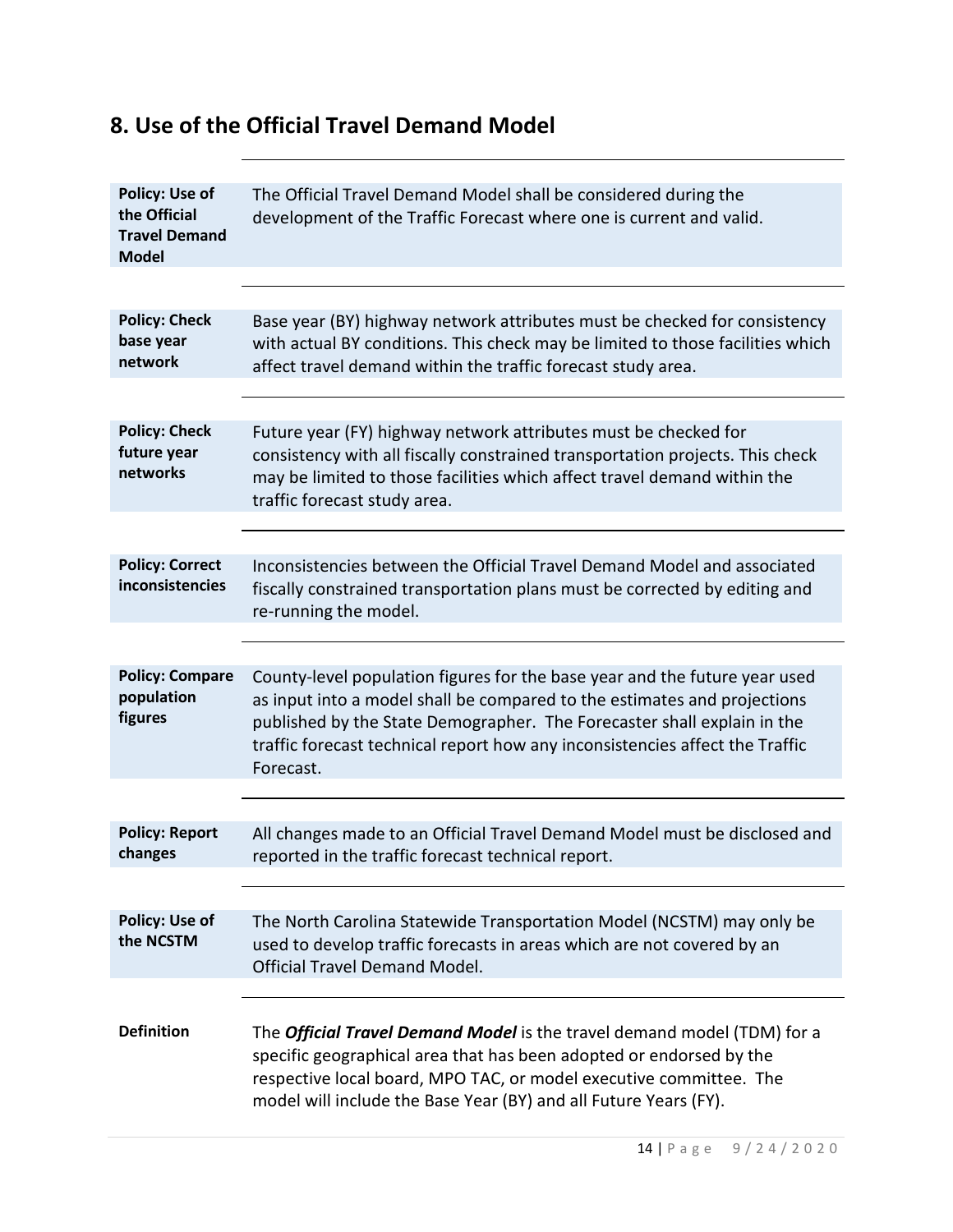#### **8. Use of the Official Travel Demand Model**

| <b>Policy: Use of</b><br>the Official<br><b>Travel Demand</b><br><b>Model</b> | The Official Travel Demand Model shall be considered during the<br>development of the Traffic Forecast where one is current and valid.                                                                                                                                                                                         |
|-------------------------------------------------------------------------------|--------------------------------------------------------------------------------------------------------------------------------------------------------------------------------------------------------------------------------------------------------------------------------------------------------------------------------|
|                                                                               |                                                                                                                                                                                                                                                                                                                                |
| <b>Policy: Check</b><br>base year<br>network                                  | Base year (BY) highway network attributes must be checked for consistency<br>with actual BY conditions. This check may be limited to those facilities which<br>affect travel demand within the traffic forecast study area.                                                                                                    |
|                                                                               |                                                                                                                                                                                                                                                                                                                                |
| <b>Policy: Check</b><br>future year<br>networks                               | Future year (FY) highway network attributes must be checked for<br>consistency with all fiscally constrained transportation projects. This check<br>may be limited to those facilities which affect travel demand within the<br>traffic forecast study area.                                                                   |
|                                                                               |                                                                                                                                                                                                                                                                                                                                |
| <b>Policy: Correct</b><br>inconsistencies                                     | Inconsistencies between the Official Travel Demand Model and associated<br>fiscally constrained transportation plans must be corrected by editing and<br>re-running the model.                                                                                                                                                 |
|                                                                               |                                                                                                                                                                                                                                                                                                                                |
| <b>Policy: Compare</b><br>population<br>figures                               | County-level population figures for the base year and the future year used<br>as input into a model shall be compared to the estimates and projections<br>published by the State Demographer. The Forecaster shall explain in the<br>traffic forecast technical report how any inconsistencies affect the Traffic<br>Forecast. |
|                                                                               |                                                                                                                                                                                                                                                                                                                                |
| <b>Policy: Report</b><br>changes                                              | All changes made to an Official Travel Demand Model must be disclosed and<br>reported in the traffic forecast technical report.                                                                                                                                                                                                |
|                                                                               |                                                                                                                                                                                                                                                                                                                                |
| <b>Policy: Use of</b><br>the NCSTM                                            | The North Carolina Statewide Transportation Model (NCSTM) may only be<br>used to develop traffic forecasts in areas which are not covered by an<br><b>Official Travel Demand Model.</b>                                                                                                                                        |
| <b>Definition</b>                                                             | The <i>Official Travel Demand Model</i> is the travel demand model (TDM) for a<br>specific geographical area that has been adopted or endorsed by the<br>respective local board, MPO TAC, or model executive committee. The<br>model will include the Base Year (BY) and all Future Years (FY).                                |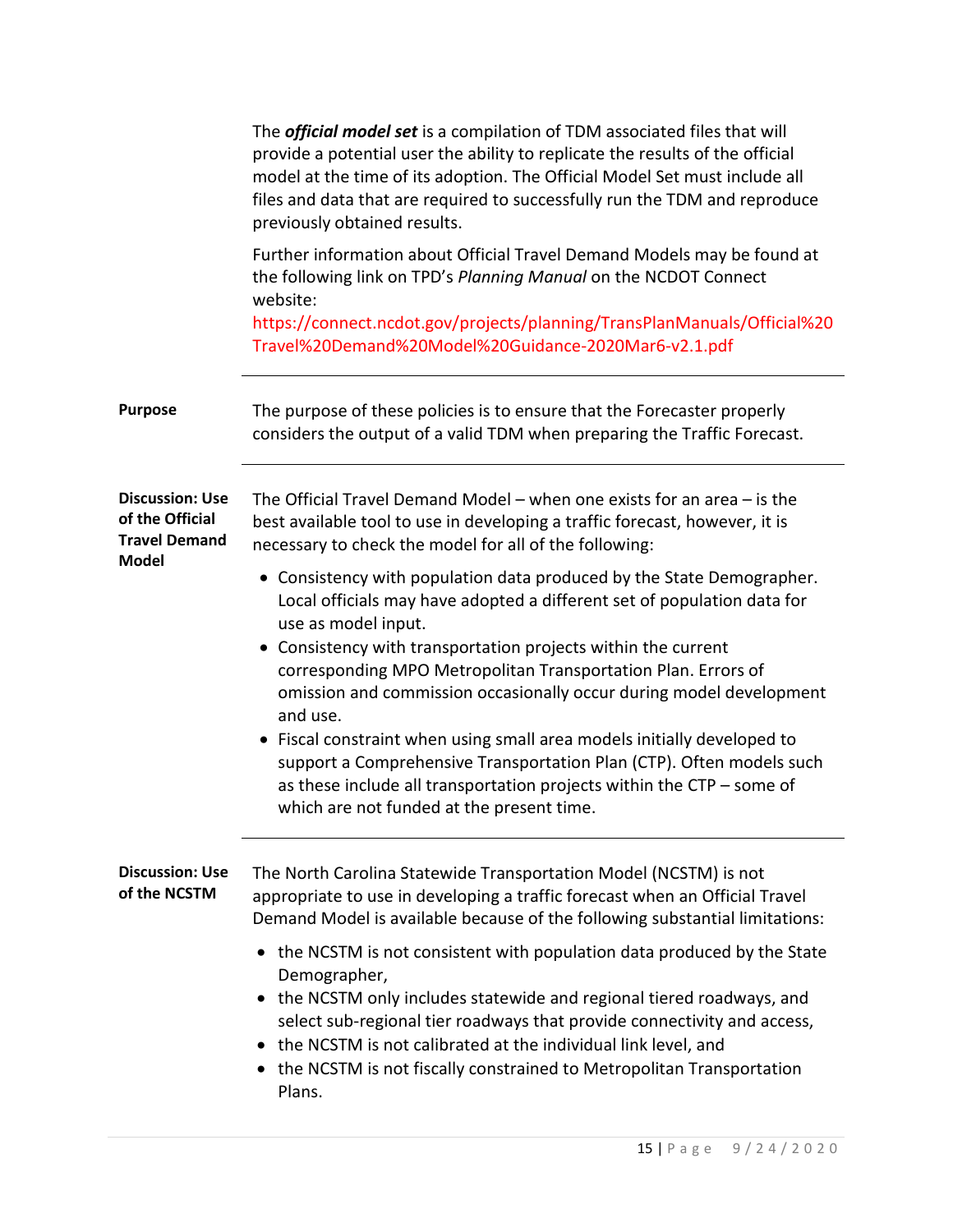|                                                                                   | The <i>official model set</i> is a compilation of TDM associated files that will<br>provide a potential user the ability to replicate the results of the official<br>model at the time of its adoption. The Official Model Set must include all<br>files and data that are required to successfully run the TDM and reproduce<br>previously obtained results.                                            |
|-----------------------------------------------------------------------------------|----------------------------------------------------------------------------------------------------------------------------------------------------------------------------------------------------------------------------------------------------------------------------------------------------------------------------------------------------------------------------------------------------------|
|                                                                                   | Further information about Official Travel Demand Models may be found at<br>the following link on TPD's Planning Manual on the NCDOT Connect<br>website:<br>https://connect.ncdot.gov/projects/planning/TransPlanManuals/Official%20<br>Travel%20Demand%20Model%20Guidance-2020Mar6-v2.1.pdf                                                                                                              |
| <b>Purpose</b>                                                                    | The purpose of these policies is to ensure that the Forecaster properly<br>considers the output of a valid TDM when preparing the Traffic Forecast.                                                                                                                                                                                                                                                      |
| <b>Discussion: Use</b><br>of the Official<br><b>Travel Demand</b><br><b>Model</b> | The Official Travel Demand Model – when one exists for an area $-$ is the<br>best available tool to use in developing a traffic forecast, however, it is<br>necessary to check the model for all of the following:                                                                                                                                                                                       |
|                                                                                   | • Consistency with population data produced by the State Demographer.<br>Local officials may have adopted a different set of population data for<br>use as model input.                                                                                                                                                                                                                                  |
|                                                                                   | • Consistency with transportation projects within the current<br>corresponding MPO Metropolitan Transportation Plan. Errors of<br>omission and commission occasionally occur during model development<br>and use.                                                                                                                                                                                        |
|                                                                                   | • Fiscal constraint when using small area models initially developed to<br>support a Comprehensive Transportation Plan (CTP). Often models such<br>as these include all transportation projects within the CTP - some of<br>which are not funded at the present time.                                                                                                                                    |
| <b>Discussion: Use</b><br>of the NCSTM                                            | The North Carolina Statewide Transportation Model (NCSTM) is not<br>appropriate to use in developing a traffic forecast when an Official Travel<br>Demand Model is available because of the following substantial limitations:                                                                                                                                                                           |
|                                                                                   | the NCSTM is not consistent with population data produced by the State<br>Demographer,<br>the NCSTM only includes statewide and regional tiered roadways, and<br>$\bullet$<br>select sub-regional tier roadways that provide connectivity and access,<br>the NCSTM is not calibrated at the individual link level, and<br>the NCSTM is not fiscally constrained to Metropolitan Transportation<br>Plans. |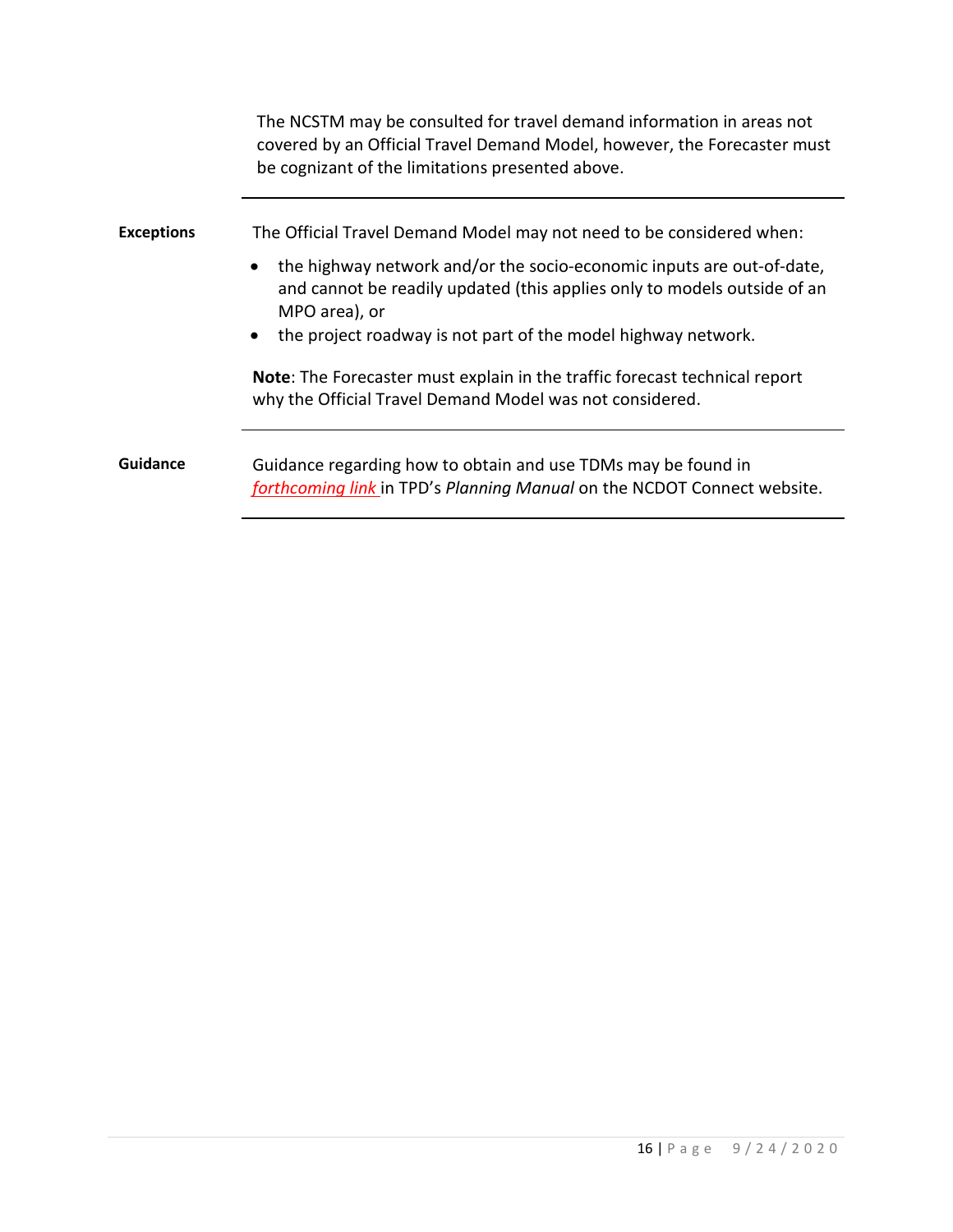|                   | The NCSTM may be consulted for travel demand information in areas not<br>covered by an Official Travel Demand Model, however, the Forecaster must<br>be cognizant of the limitations presented above. |
|-------------------|-------------------------------------------------------------------------------------------------------------------------------------------------------------------------------------------------------|
| <b>Exceptions</b> | The Official Travel Demand Model may not need to be considered when:                                                                                                                                  |
|                   | the highway network and/or the socio-economic inputs are out-of-date,<br>$\bullet$<br>and cannot be readily updated (this applies only to models outside of an<br>MPO area), or                       |
|                   | the project roadway is not part of the model highway network.<br>$\bullet$                                                                                                                            |
|                   | Note: The Forecaster must explain in the traffic forecast technical report<br>why the Official Travel Demand Model was not considered.                                                                |
| <b>Guidance</b>   | Guidance regarding how to obtain and use TDMs may be found in<br>forthcoming link in TPD's Planning Manual on the NCDOT Connect website.                                                              |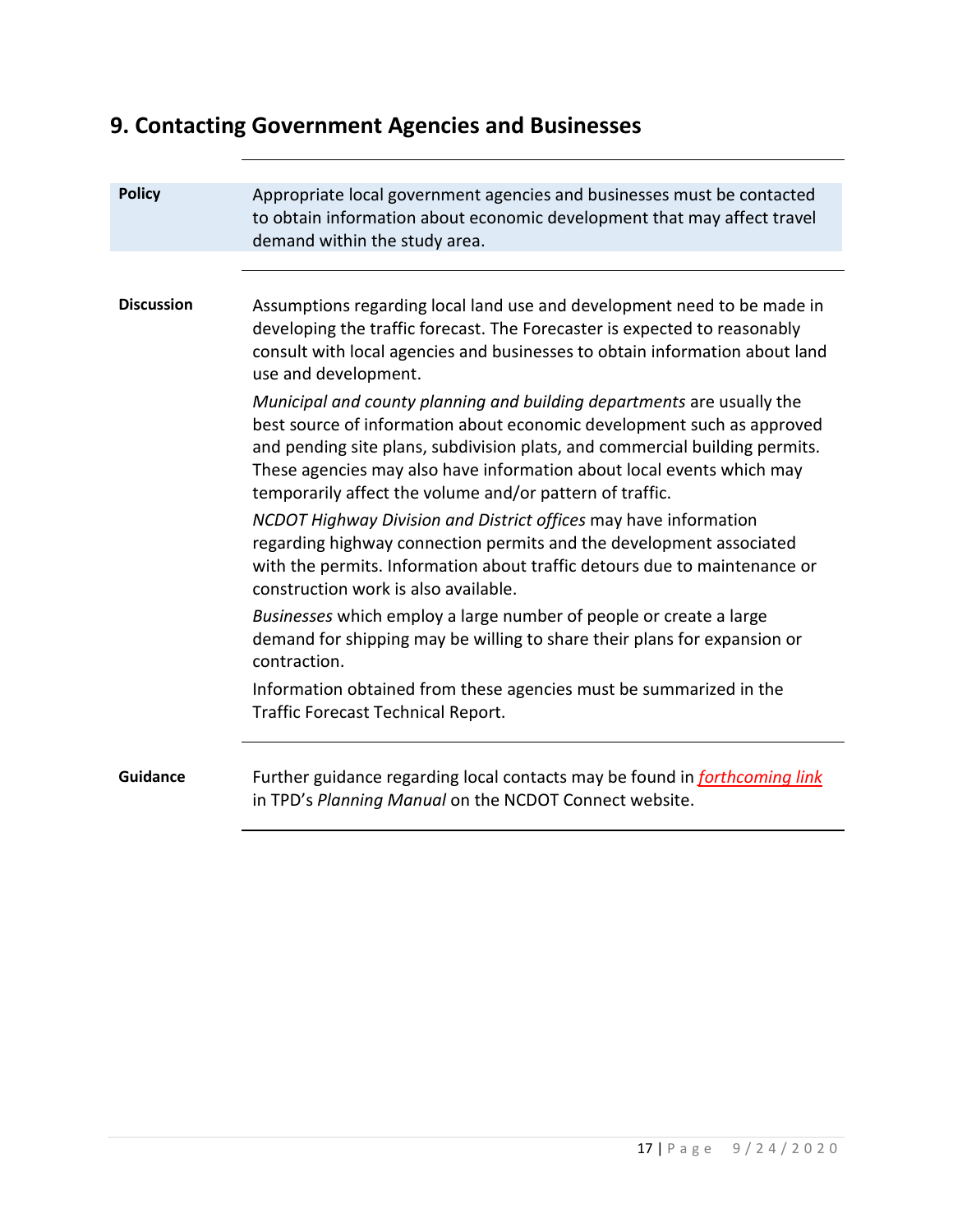# **9. Contacting Government Agencies and Businesses**

| <b>Policy</b>     | Appropriate local government agencies and businesses must be contacted<br>to obtain information about economic development that may affect travel<br>demand within the study area.                                                                                                                                                                                   |
|-------------------|----------------------------------------------------------------------------------------------------------------------------------------------------------------------------------------------------------------------------------------------------------------------------------------------------------------------------------------------------------------------|
|                   |                                                                                                                                                                                                                                                                                                                                                                      |
| <b>Discussion</b> | Assumptions regarding local land use and development need to be made in<br>developing the traffic forecast. The Forecaster is expected to reasonably<br>consult with local agencies and businesses to obtain information about land<br>use and development.                                                                                                          |
|                   | Municipal and county planning and building departments are usually the<br>best source of information about economic development such as approved<br>and pending site plans, subdivision plats, and commercial building permits.<br>These agencies may also have information about local events which may<br>temporarily affect the volume and/or pattern of traffic. |
|                   | NCDOT Highway Division and District offices may have information<br>regarding highway connection permits and the development associated<br>with the permits. Information about traffic detours due to maintenance or<br>construction work is also available.                                                                                                         |
|                   | Businesses which employ a large number of people or create a large<br>demand for shipping may be willing to share their plans for expansion or<br>contraction.                                                                                                                                                                                                       |
|                   | Information obtained from these agencies must be summarized in the<br>Traffic Forecast Technical Report.                                                                                                                                                                                                                                                             |
| Guidance          | Further guidance regarding local contacts may be found in <i>forthcoming link</i><br>in TPD's Planning Manual on the NCDOT Connect website.                                                                                                                                                                                                                          |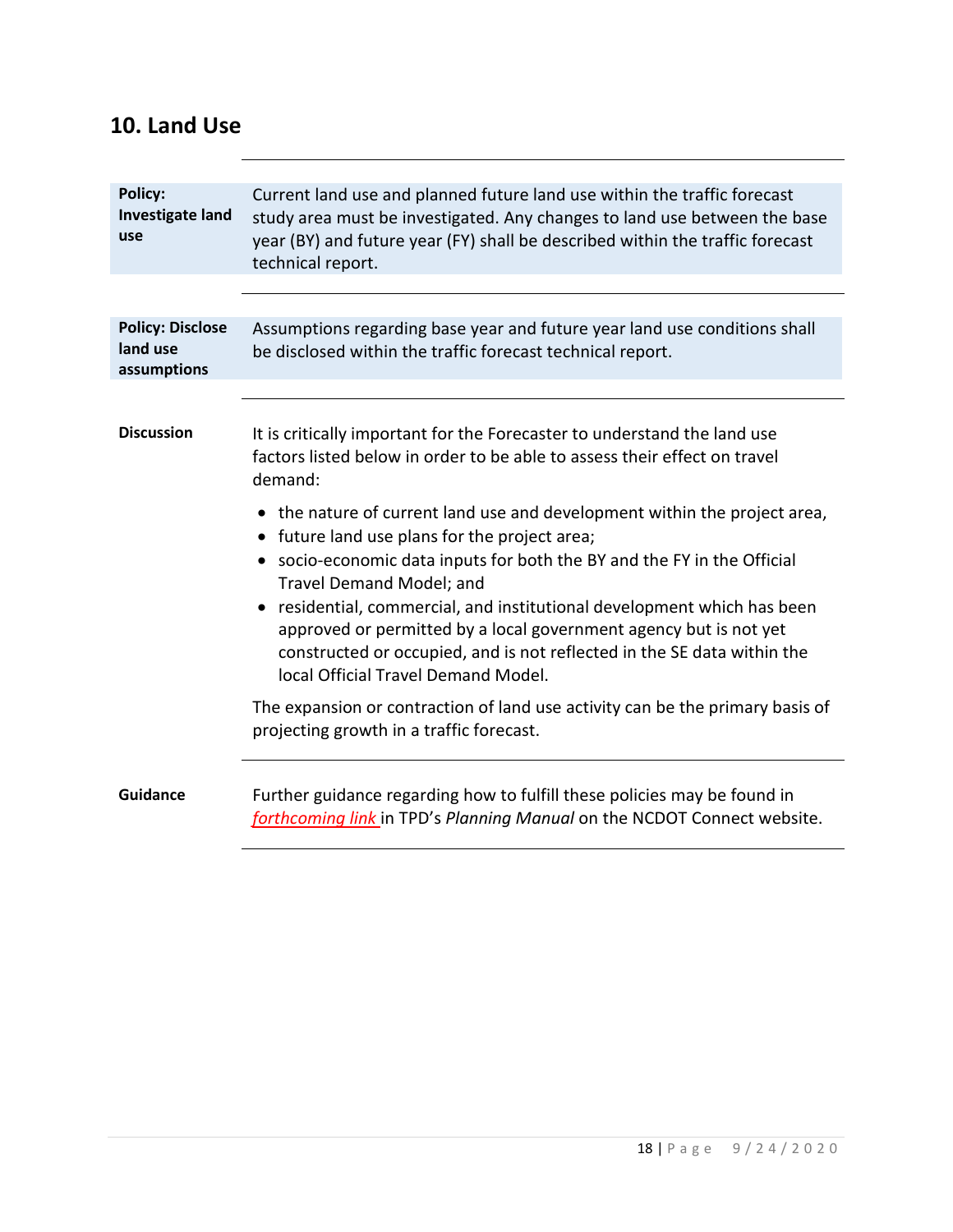#### **10. Land Use**

| <b>Policy:</b><br><b>Investigate land</b><br>use   | Current land use and planned future land use within the traffic forecast<br>study area must be investigated. Any changes to land use between the base<br>year (BY) and future year (FY) shall be described within the traffic forecast<br>technical report.  |
|----------------------------------------------------|--------------------------------------------------------------------------------------------------------------------------------------------------------------------------------------------------------------------------------------------------------------|
|                                                    |                                                                                                                                                                                                                                                              |
| <b>Policy: Disclose</b><br>land use<br>assumptions | Assumptions regarding base year and future year land use conditions shall<br>be disclosed within the traffic forecast technical report.                                                                                                                      |
|                                                    |                                                                                                                                                                                                                                                              |
| <b>Discussion</b>                                  | It is critically important for the Forecaster to understand the land use<br>factors listed below in order to be able to assess their effect on travel<br>demand:                                                                                             |
|                                                    | • the nature of current land use and development within the project area,<br>• future land use plans for the project area;                                                                                                                                   |
|                                                    | • socio-economic data inputs for both the BY and the FY in the Official<br>Travel Demand Model; and                                                                                                                                                          |
|                                                    | residential, commercial, and institutional development which has been<br>approved or permitted by a local government agency but is not yet<br>constructed or occupied, and is not reflected in the SE data within the<br>local Official Travel Demand Model. |
|                                                    | The expansion or contraction of land use activity can be the primary basis of<br>projecting growth in a traffic forecast.                                                                                                                                    |
| <b>Guidance</b>                                    | Further guidance regarding how to fulfill these policies may be found in<br>forthcoming link in TPD's Planning Manual on the NCDOT Connect website.                                                                                                          |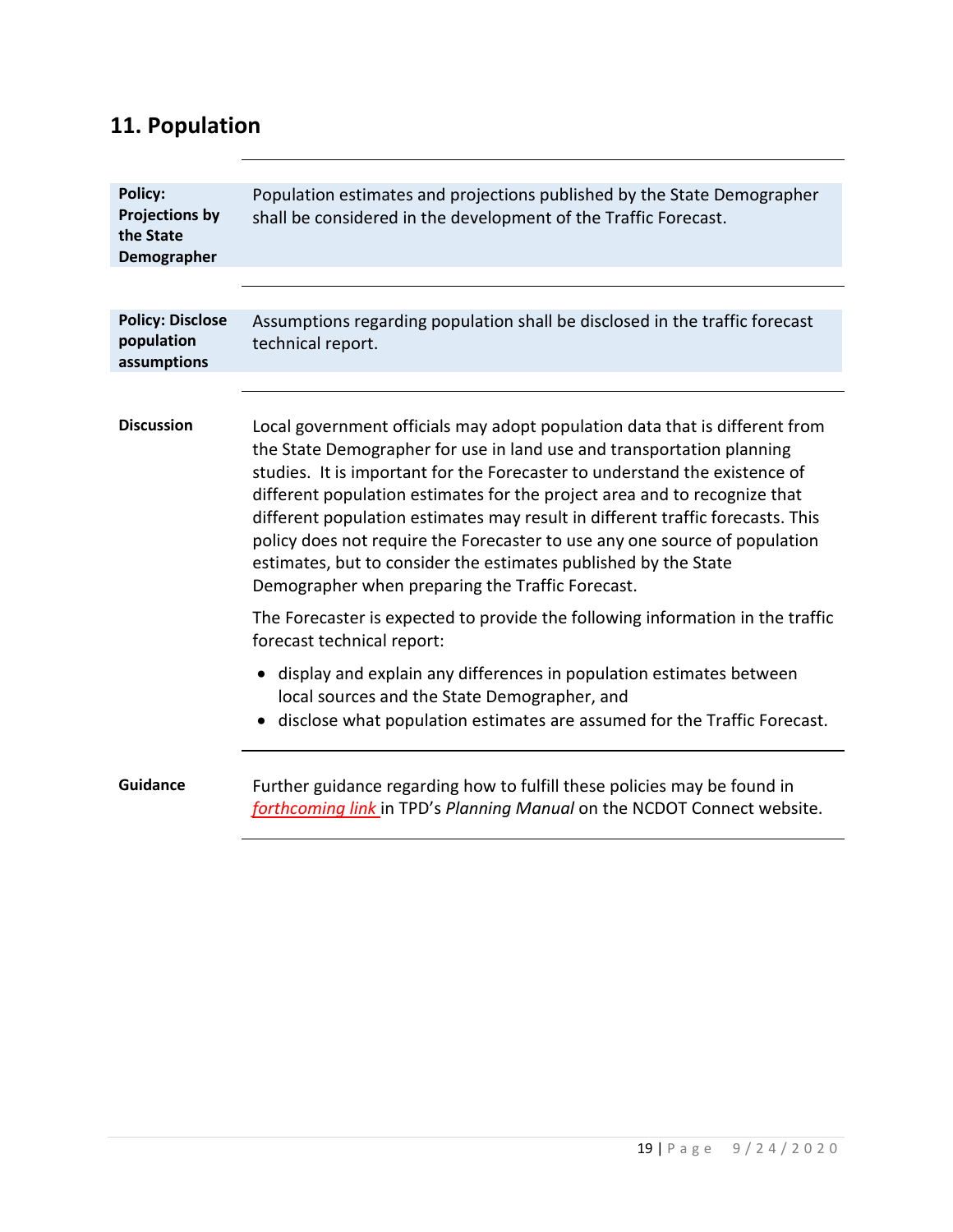# **11. Population**

| <b>Policy:</b><br><b>Projections by</b><br>the State<br>Demographer | Population estimates and projections published by the State Demographer<br>shall be considered in the development of the Traffic Forecast.                                                                                                                                                                                                                                                                                                                                                                                                                                                             |
|---------------------------------------------------------------------|--------------------------------------------------------------------------------------------------------------------------------------------------------------------------------------------------------------------------------------------------------------------------------------------------------------------------------------------------------------------------------------------------------------------------------------------------------------------------------------------------------------------------------------------------------------------------------------------------------|
|                                                                     |                                                                                                                                                                                                                                                                                                                                                                                                                                                                                                                                                                                                        |
| <b>Policy: Disclose</b><br>population<br>assumptions                | Assumptions regarding population shall be disclosed in the traffic forecast<br>technical report.                                                                                                                                                                                                                                                                                                                                                                                                                                                                                                       |
|                                                                     |                                                                                                                                                                                                                                                                                                                                                                                                                                                                                                                                                                                                        |
| <b>Discussion</b>                                                   | Local government officials may adopt population data that is different from<br>the State Demographer for use in land use and transportation planning<br>studies. It is important for the Forecaster to understand the existence of<br>different population estimates for the project area and to recognize that<br>different population estimates may result in different traffic forecasts. This<br>policy does not require the Forecaster to use any one source of population<br>estimates, but to consider the estimates published by the State<br>Demographer when preparing the Traffic Forecast. |
|                                                                     | The Forecaster is expected to provide the following information in the traffic<br>forecast technical report:                                                                                                                                                                                                                                                                                                                                                                                                                                                                                           |
|                                                                     | • display and explain any differences in population estimates between<br>local sources and the State Demographer, and<br>disclose what population estimates are assumed for the Traffic Forecast.                                                                                                                                                                                                                                                                                                                                                                                                      |
| <b>Guidance</b>                                                     | Further guidance regarding how to fulfill these policies may be found in<br>forthcoming link in TPD's Planning Manual on the NCDOT Connect website.                                                                                                                                                                                                                                                                                                                                                                                                                                                    |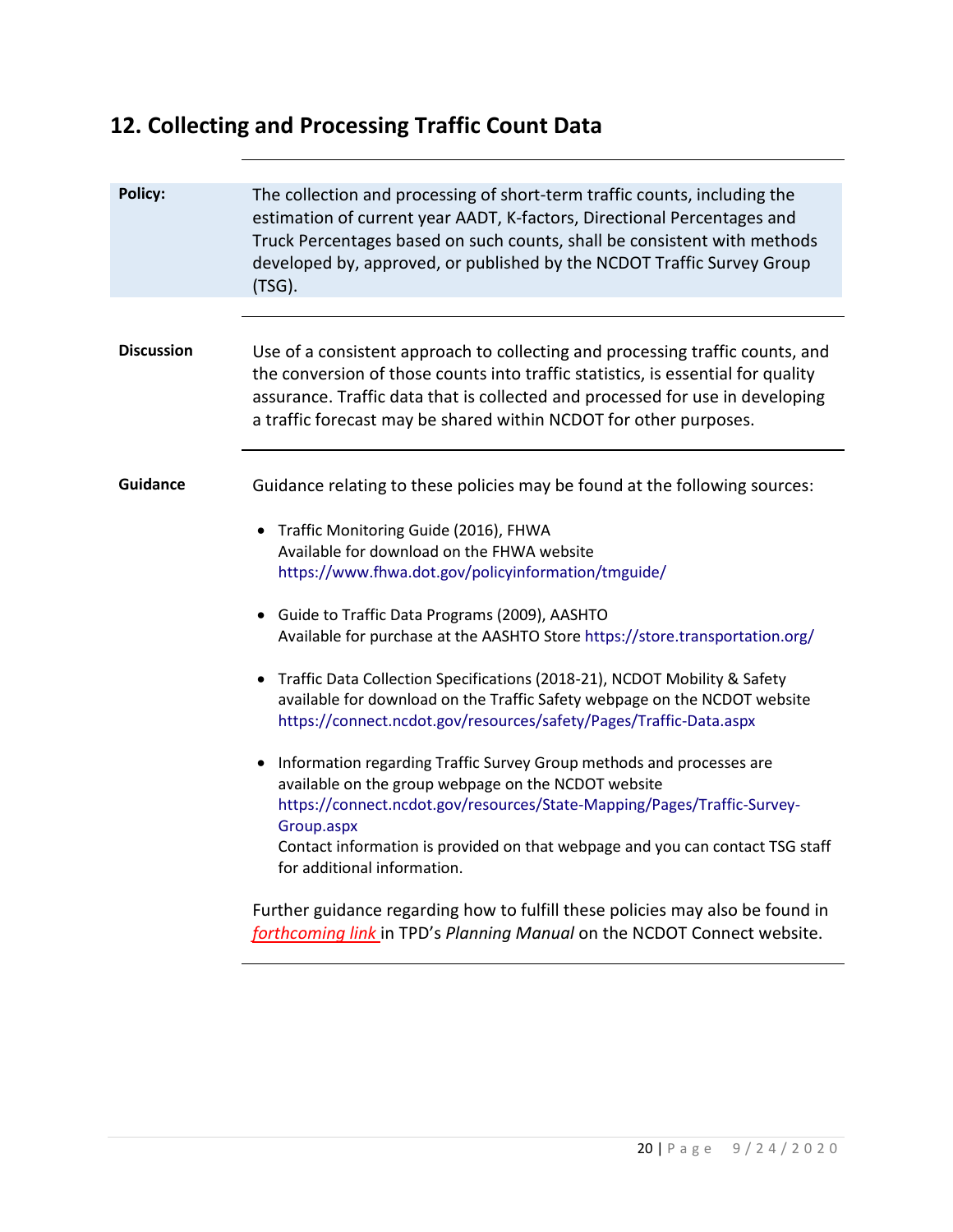# **12. Collecting and Processing Traffic Count Data**

| Policy:           | The collection and processing of short-term traffic counts, including the<br>estimation of current year AADT, K-factors, Directional Percentages and<br>Truck Percentages based on such counts, shall be consistent with methods<br>developed by, approved, or published by the NCDOT Traffic Survey Group<br>(TSG).                                                                                                                                                                                                                                                                                                                                                                                                                                                                                                                                                                                                                                                                                                                                                                                           |
|-------------------|----------------------------------------------------------------------------------------------------------------------------------------------------------------------------------------------------------------------------------------------------------------------------------------------------------------------------------------------------------------------------------------------------------------------------------------------------------------------------------------------------------------------------------------------------------------------------------------------------------------------------------------------------------------------------------------------------------------------------------------------------------------------------------------------------------------------------------------------------------------------------------------------------------------------------------------------------------------------------------------------------------------------------------------------------------------------------------------------------------------|
| <b>Discussion</b> | Use of a consistent approach to collecting and processing traffic counts, and<br>the conversion of those counts into traffic statistics, is essential for quality<br>assurance. Traffic data that is collected and processed for use in developing<br>a traffic forecast may be shared within NCDOT for other purposes.                                                                                                                                                                                                                                                                                                                                                                                                                                                                                                                                                                                                                                                                                                                                                                                        |
| <b>Guidance</b>   | Guidance relating to these policies may be found at the following sources:<br>Traffic Monitoring Guide (2016), FHWA<br>$\bullet$<br>Available for download on the FHWA website<br>https://www.fhwa.dot.gov/policyinformation/tmguide/<br>• Guide to Traffic Data Programs (2009), AASHTO<br>Available for purchase at the AASHTO Store https://store.transportation.org/<br>• Traffic Data Collection Specifications (2018-21), NCDOT Mobility & Safety<br>available for download on the Traffic Safety webpage on the NCDOT website<br>https://connect.ncdot.gov/resources/safety/Pages/Traffic-Data.aspx<br>Information regarding Traffic Survey Group methods and processes are<br>available on the group webpage on the NCDOT website<br>https://connect.ncdot.gov/resources/State-Mapping/Pages/Traffic-Survey-<br>Group.aspx<br>Contact information is provided on that webpage and you can contact TSG staff<br>for additional information.<br>Further guidance regarding how to fulfill these policies may also be found in<br>forthcoming link in TPD's Planning Manual on the NCDOT Connect website. |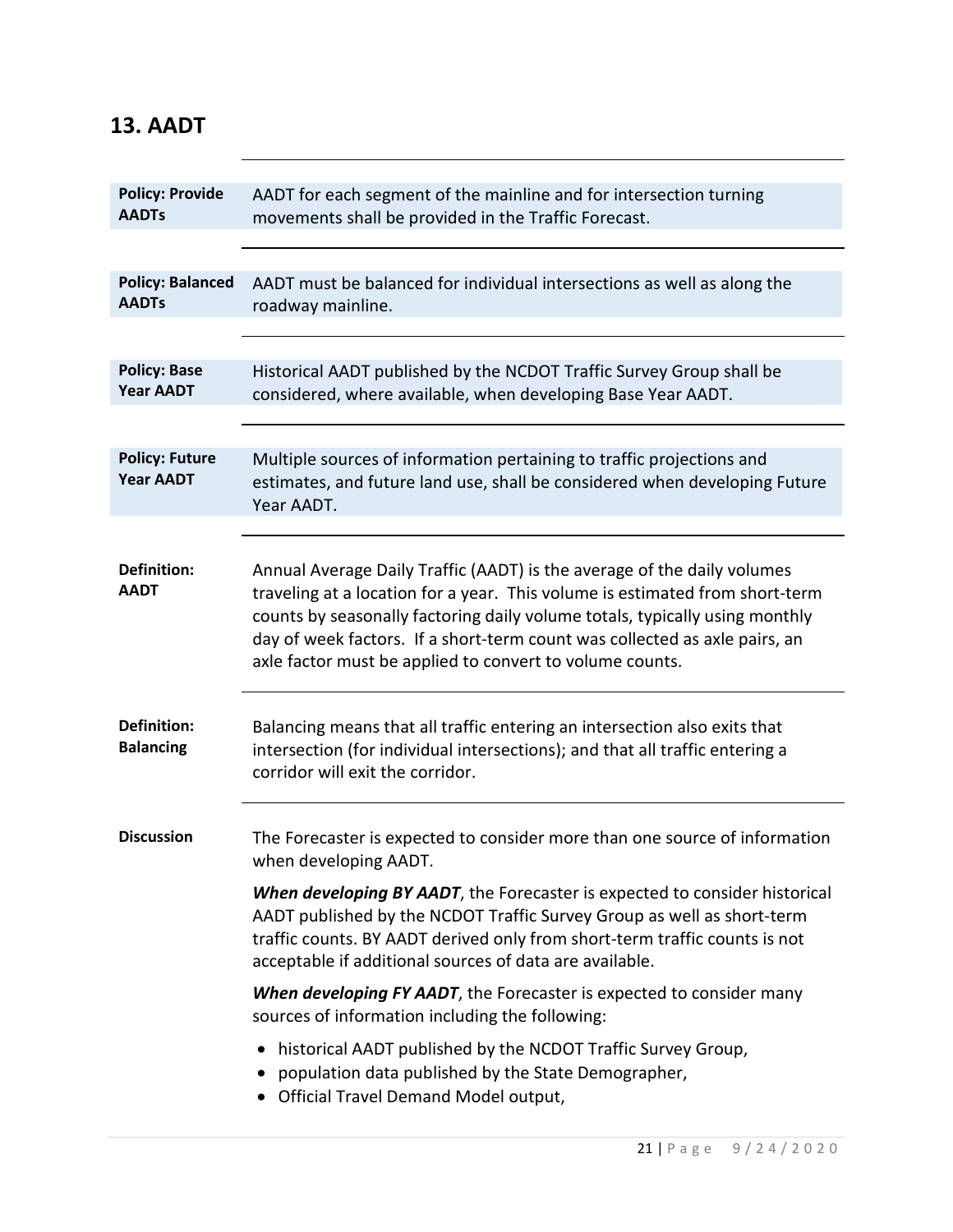| <b>Policy: Provide</b><br><b>AADTs</b>    | AADT for each segment of the mainline and for intersection turning<br>movements shall be provided in the Traffic Forecast.                                                                                                                                                                                                                                                       |
|-------------------------------------------|----------------------------------------------------------------------------------------------------------------------------------------------------------------------------------------------------------------------------------------------------------------------------------------------------------------------------------------------------------------------------------|
|                                           |                                                                                                                                                                                                                                                                                                                                                                                  |
| <b>Policy: Balanced</b><br><b>AADTs</b>   | AADT must be balanced for individual intersections as well as along the<br>roadway mainline.                                                                                                                                                                                                                                                                                     |
|                                           |                                                                                                                                                                                                                                                                                                                                                                                  |
| <b>Policy: Base</b><br><b>Year AADT</b>   | Historical AADT published by the NCDOT Traffic Survey Group shall be<br>considered, where available, when developing Base Year AADT.                                                                                                                                                                                                                                             |
|                                           |                                                                                                                                                                                                                                                                                                                                                                                  |
| <b>Policy: Future</b><br><b>Year AADT</b> | Multiple sources of information pertaining to traffic projections and<br>estimates, and future land use, shall be considered when developing Future<br>Year AADT.                                                                                                                                                                                                                |
|                                           |                                                                                                                                                                                                                                                                                                                                                                                  |
| <b>Definition:</b><br><b>AADT</b>         | Annual Average Daily Traffic (AADT) is the average of the daily volumes<br>traveling at a location for a year. This volume is estimated from short-term<br>counts by seasonally factoring daily volume totals, typically using monthly<br>day of week factors. If a short-term count was collected as axle pairs, an<br>axle factor must be applied to convert to volume counts. |
| <b>Definition:</b><br><b>Balancing</b>    | Balancing means that all traffic entering an intersection also exits that<br>intersection (for individual intersections); and that all traffic entering a<br>corridor will exit the corridor.                                                                                                                                                                                    |
| <b>Discussion</b>                         | The Forecaster is expected to consider more than one source of information<br>when developing AADT.                                                                                                                                                                                                                                                                              |
|                                           | When developing BY AADT, the Forecaster is expected to consider historical<br>AADT published by the NCDOT Traffic Survey Group as well as short-term<br>traffic counts. BY AADT derived only from short-term traffic counts is not<br>acceptable if additional sources of data are available.                                                                                    |
|                                           | When developing FY AADT, the Forecaster is expected to consider many<br>sources of information including the following:                                                                                                                                                                                                                                                          |
|                                           | historical AADT published by the NCDOT Traffic Survey Group,<br>population data published by the State Demographer,<br>• Official Travel Demand Model output,                                                                                                                                                                                                                    |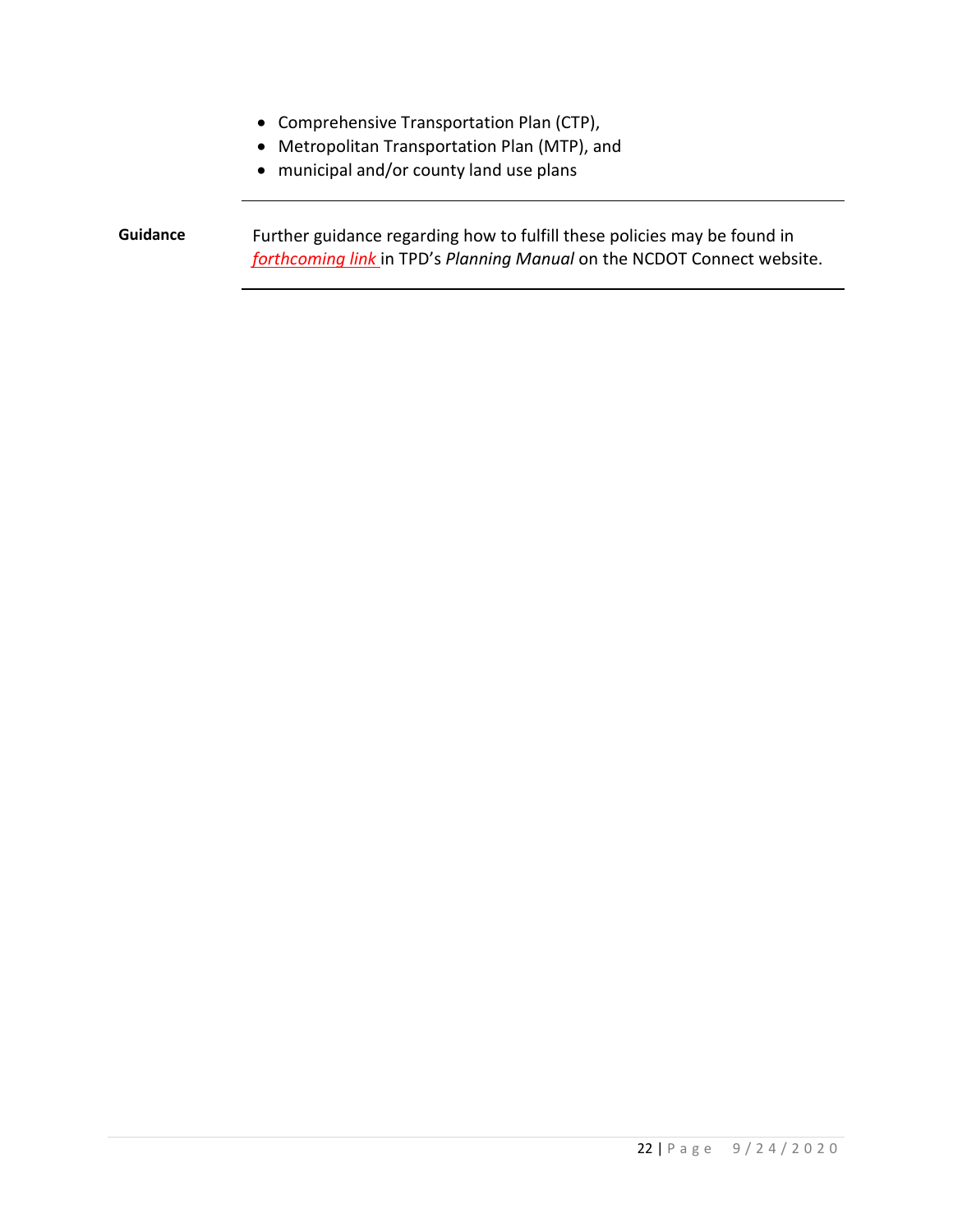- Comprehensive Transportation Plan (CTP),
- Metropolitan Transportation Plan (MTP), and
- municipal and/or county land use plans

**Guidance** Further guidance regarding how to fulfill these policies may be found in *forthcoming link* in TPD's *Planning Manual* on the NCDOT Connect website.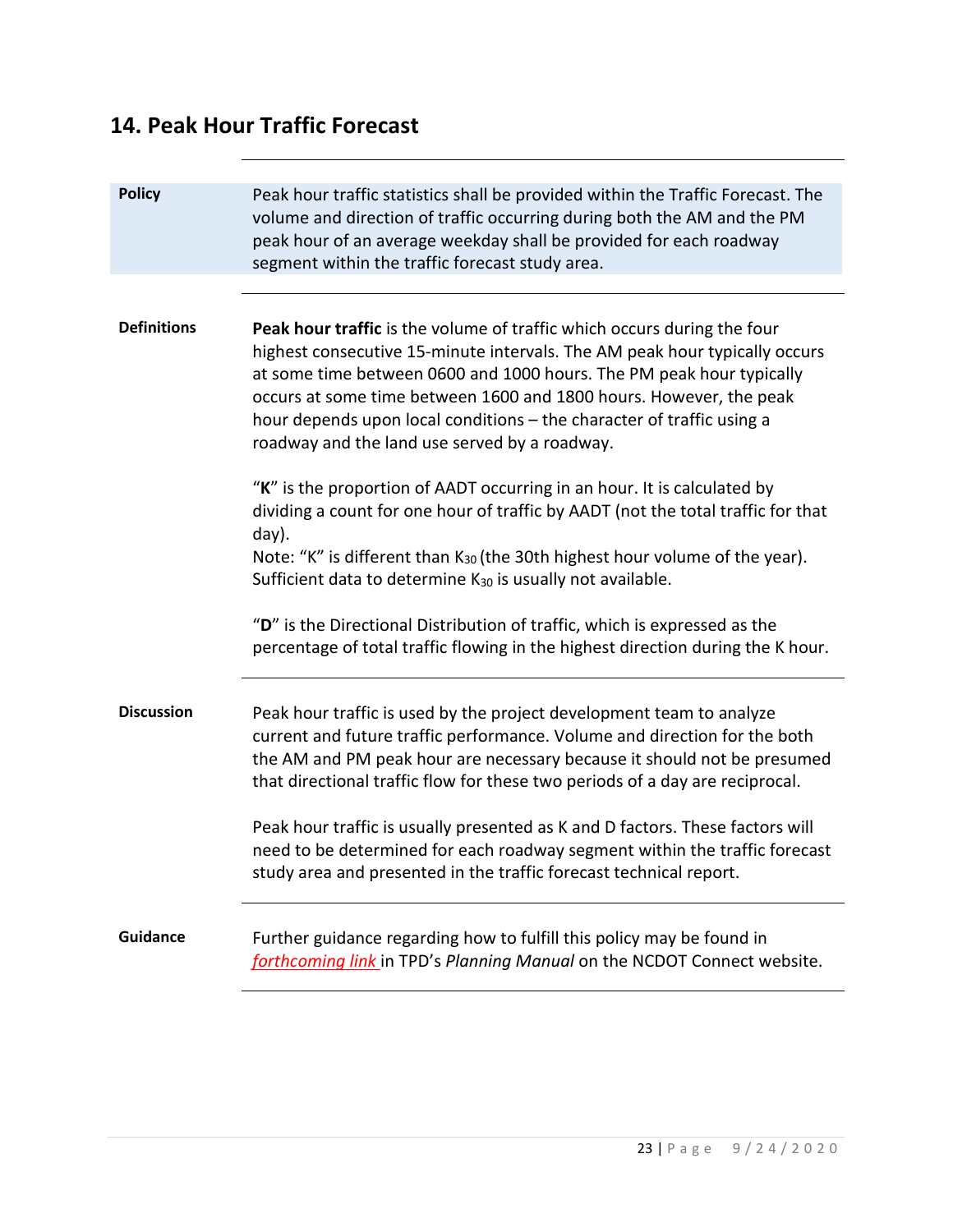#### **14. Peak Hour Traffic Forecast**

| <b>Policy</b>      | Peak hour traffic statistics shall be provided within the Traffic Forecast. The<br>volume and direction of traffic occurring during both the AM and the PM<br>peak hour of an average weekday shall be provided for each roadway<br>segment within the traffic forecast study area.                                                                                                                                                                                                                                                               |
|--------------------|---------------------------------------------------------------------------------------------------------------------------------------------------------------------------------------------------------------------------------------------------------------------------------------------------------------------------------------------------------------------------------------------------------------------------------------------------------------------------------------------------------------------------------------------------|
| <b>Definitions</b> | Peak hour traffic is the volume of traffic which occurs during the four<br>highest consecutive 15-minute intervals. The AM peak hour typically occurs<br>at some time between 0600 and 1000 hours. The PM peak hour typically<br>occurs at some time between 1600 and 1800 hours. However, the peak<br>hour depends upon local conditions - the character of traffic using a<br>roadway and the land use served by a roadway.                                                                                                                     |
|                    | "K" is the proportion of AADT occurring in an hour. It is calculated by<br>dividing a count for one hour of traffic by AADT (not the total traffic for that<br>day).<br>Note: "K" is different than K <sub>30</sub> (the 30th highest hour volume of the year).<br>Sufficient data to determine K <sub>30</sub> is usually not available.<br>"D" is the Directional Distribution of traffic, which is expressed as the<br>percentage of total traffic flowing in the highest direction during the K hour.                                         |
| <b>Discussion</b>  | Peak hour traffic is used by the project development team to analyze<br>current and future traffic performance. Volume and direction for the both<br>the AM and PM peak hour are necessary because it should not be presumed<br>that directional traffic flow for these two periods of a day are reciprocal.<br>Peak hour traffic is usually presented as K and D factors. These factors will<br>need to be determined for each roadway segment within the traffic forecast<br>study area and presented in the traffic forecast technical report. |
| <b>Guidance</b>    | Further guidance regarding how to fulfill this policy may be found in<br>forthcoming link in TPD's Planning Manual on the NCDOT Connect website.                                                                                                                                                                                                                                                                                                                                                                                                  |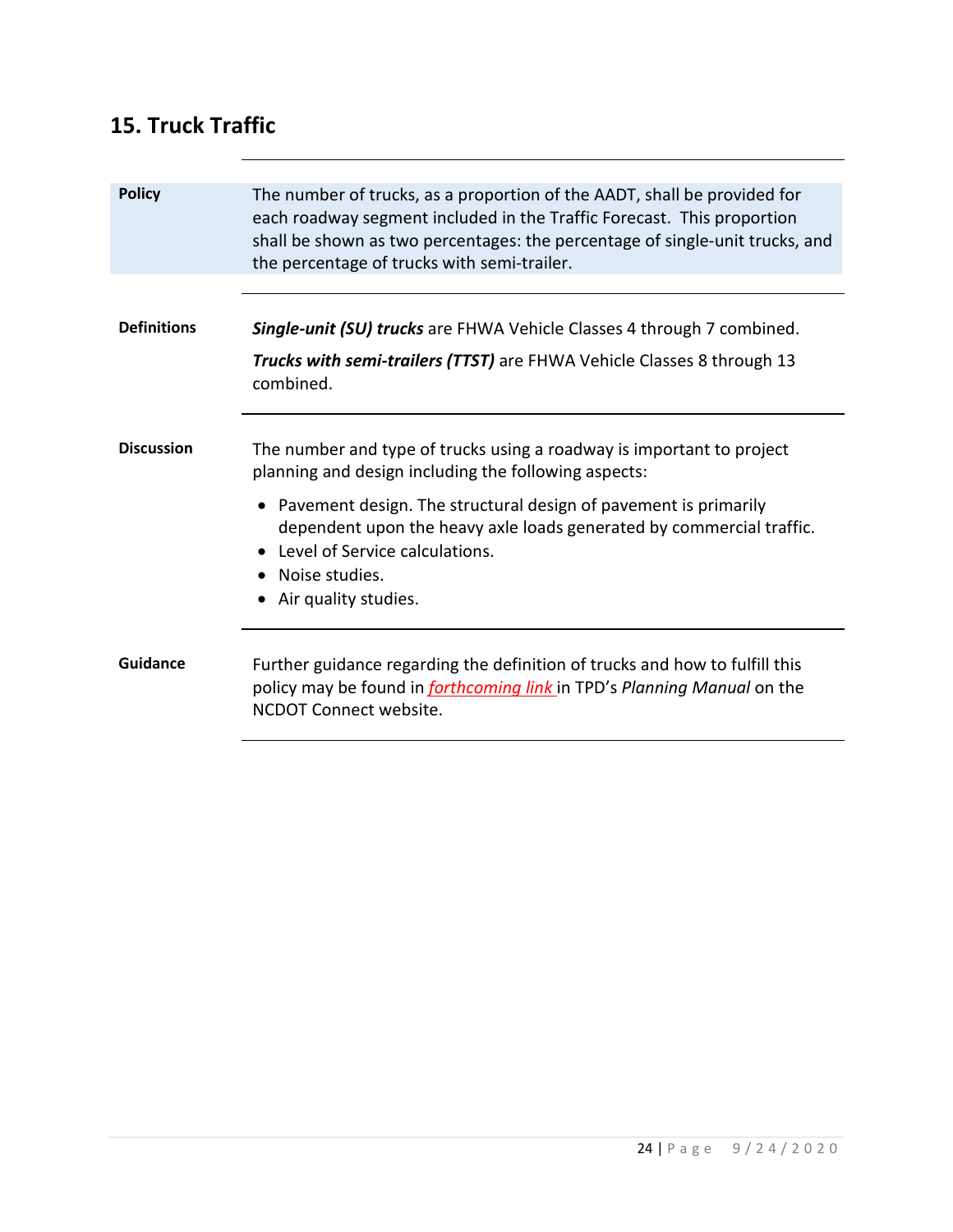#### **15. Truck Traffic**

| <b>Policy</b>      | The number of trucks, as a proportion of the AADT, shall be provided for<br>each roadway segment included in the Traffic Forecast. This proportion<br>shall be shown as two percentages: the percentage of single-unit trucks, and<br>the percentage of trucks with semi-trailer. |
|--------------------|-----------------------------------------------------------------------------------------------------------------------------------------------------------------------------------------------------------------------------------------------------------------------------------|
|                    |                                                                                                                                                                                                                                                                                   |
| <b>Definitions</b> | <b>Single-unit (SU) trucks</b> are FHWA Vehicle Classes 4 through 7 combined.                                                                                                                                                                                                     |
|                    | Trucks with semi-trailers (TTST) are FHWA Vehicle Classes 8 through 13<br>combined.                                                                                                                                                                                               |
| <b>Discussion</b>  | The number and type of trucks using a roadway is important to project<br>planning and design including the following aspects:                                                                                                                                                     |
|                    | • Pavement design. The structural design of pavement is primarily<br>dependent upon the heavy axle loads generated by commercial traffic.<br>Level of Service calculations.<br>• Noise studies.<br>• Air quality studies.                                                         |
| Guidance           | Further guidance regarding the definition of trucks and how to fulfill this<br>policy may be found in <i>forthcoming link</i> in TPD's Planning Manual on the<br>NCDOT Connect website.                                                                                           |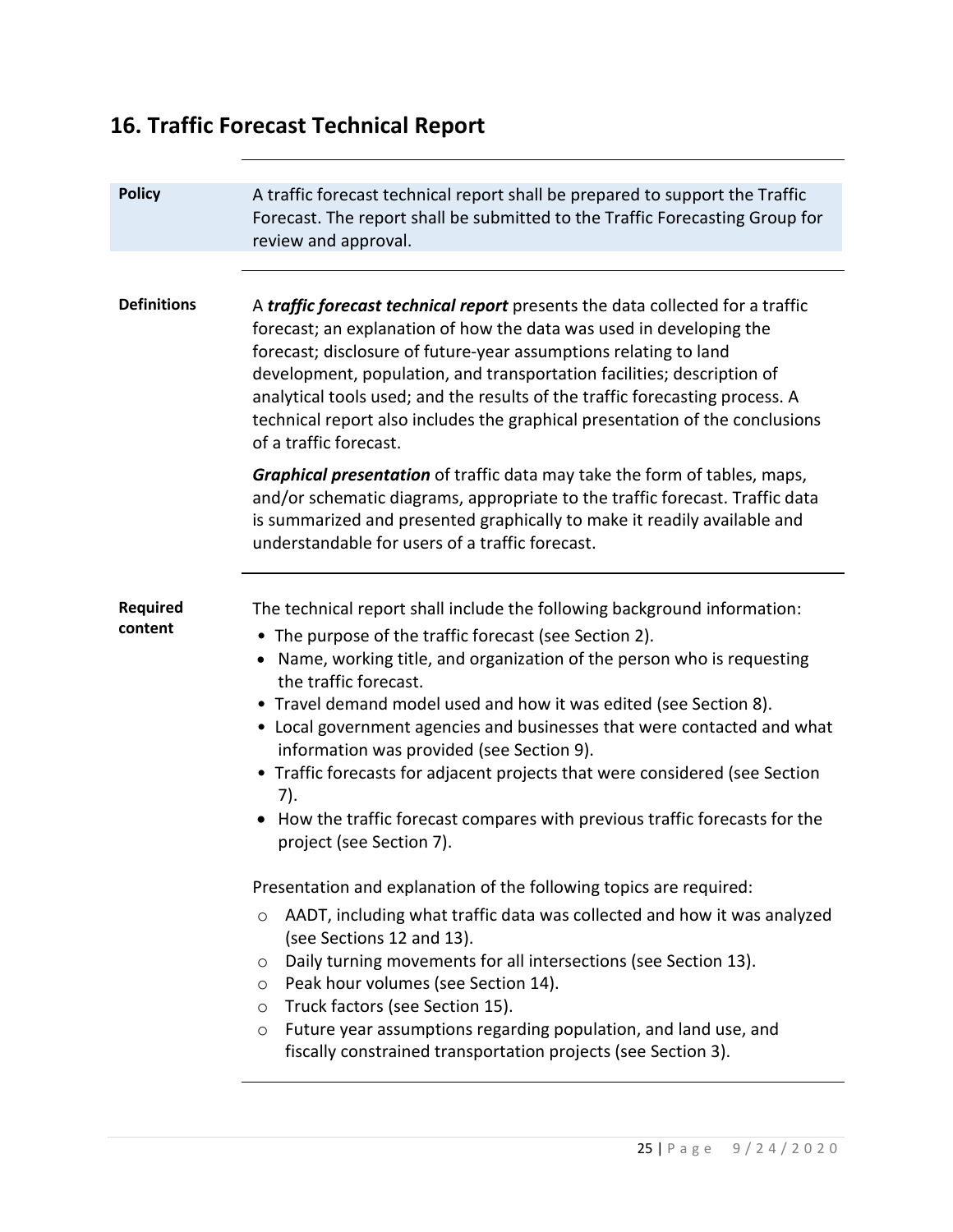# **16. Traffic Forecast Technical Report**

| <b>Policy</b>              | A traffic forecast technical report shall be prepared to support the Traffic<br>Forecast. The report shall be submitted to the Traffic Forecasting Group for<br>review and approval.                                                                                                                                                                                                                                                                                                                                                                                                                                                                                                                       |
|----------------------------|------------------------------------------------------------------------------------------------------------------------------------------------------------------------------------------------------------------------------------------------------------------------------------------------------------------------------------------------------------------------------------------------------------------------------------------------------------------------------------------------------------------------------------------------------------------------------------------------------------------------------------------------------------------------------------------------------------|
|                            |                                                                                                                                                                                                                                                                                                                                                                                                                                                                                                                                                                                                                                                                                                            |
| <b>Definitions</b>         | A <i>traffic forecast technical report</i> presents the data collected for a traffic<br>forecast; an explanation of how the data was used in developing the<br>forecast; disclosure of future-year assumptions relating to land<br>development, population, and transportation facilities; description of<br>analytical tools used; and the results of the traffic forecasting process. A<br>technical report also includes the graphical presentation of the conclusions<br>of a traffic forecast.                                                                                                                                                                                                        |
|                            | Graphical presentation of traffic data may take the form of tables, maps,<br>and/or schematic diagrams, appropriate to the traffic forecast. Traffic data<br>is summarized and presented graphically to make it readily available and<br>understandable for users of a traffic forecast.                                                                                                                                                                                                                                                                                                                                                                                                                   |
| <b>Required</b><br>content | The technical report shall include the following background information:<br>• The purpose of the traffic forecast (see Section 2).<br>• Name, working title, and organization of the person who is requesting<br>the traffic forecast.<br>• Travel demand model used and how it was edited (see Section 8).<br>• Local government agencies and businesses that were contacted and what<br>information was provided (see Section 9).<br>• Traffic forecasts for adjacent projects that were considered (see Section<br>7).<br>• How the traffic forecast compares with previous traffic forecasts for the<br>project (see Section 7).<br>Presentation and explanation of the following topics are required: |
|                            | AADT, including what traffic data was collected and how it was analyzed<br>$\circ$<br>(see Sections 12 and 13).<br>Daily turning movements for all intersections (see Section 13).<br>$\circ$<br>Peak hour volumes (see Section 14).<br>O<br>Truck factors (see Section 15).<br>$\circ$<br>Future year assumptions regarding population, and land use, and<br>O<br>fiscally constrained transportation projects (see Section 3).                                                                                                                                                                                                                                                                           |
|                            |                                                                                                                                                                                                                                                                                                                                                                                                                                                                                                                                                                                                                                                                                                            |